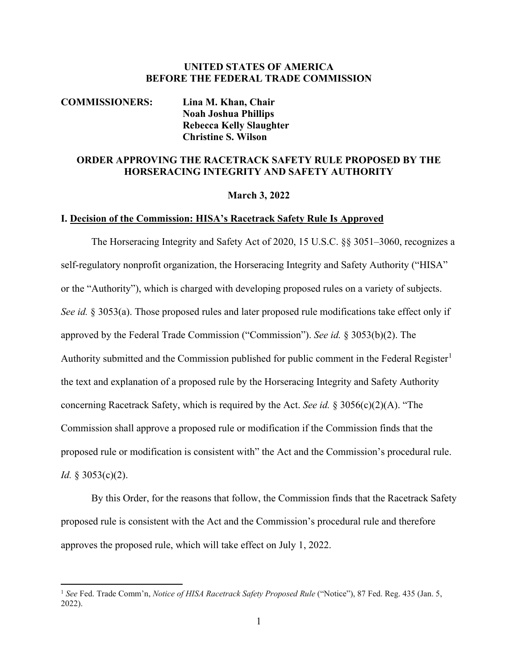## **UNITED STATES OF AMERICA BEFORE THE FEDERAL TRADE COMMISSION**

# **COMMISSIONERS: Lina M. Khan, Chair Noah Joshua Phillips Rebecca Kelly Slaughter Christine S. Wilson**

# **ORDER APPROVING THE RACETRACK SAFETY RULE PROPOSED BY THE HORSERACING INTEGRITY AND SAFETY AUTHORITY**

## **March 3, 2022**

#### **I. Decision of the Commission: HISA's Racetrack Safety Rule Is Approved**

The Horseracing Integrity and Safety Act of 2020, 15 U.S.C. §§ 3051–3060, recognizes a self-regulatory nonprofit organization, the Horseracing Integrity and Safety Authority ("HISA" or the "Authority"), which is charged with developing proposed rules on a variety of subjects. *See id.* § 3053(a). Those proposed rules and later proposed rule modifications take effect only if approved by the Federal Trade Commission ("Commission"). *See id.* § 3053(b)(2). The Authority submitted and the Commission published for public comment in the Federal Register<sup>[1](#page-0-0)</sup> the text and explanation of a proposed rule by the Horseracing Integrity and Safety Authority concerning Racetrack Safety, which is required by the Act. *See id.* § 3056(c)(2)(A). "The Commission shall approve a proposed rule or modification if the Commission finds that the proposed rule or modification is consistent with" the Act and the Commission's procedural rule. *Id.* § 3053(c)(2).

By this Order, for the reasons that follow, the Commission finds that the Racetrack Safety proposed rule is consistent with the Act and the Commission's procedural rule and therefore approves the proposed rule, which will take effect on July 1, 2022.

<span id="page-0-0"></span><sup>1</sup> *See* Fed. Trade Comm'n, *Notice of HISA Racetrack Safety Proposed Rule* ("Notice"), 87 Fed. Reg. 435 (Jan. 5, 2022).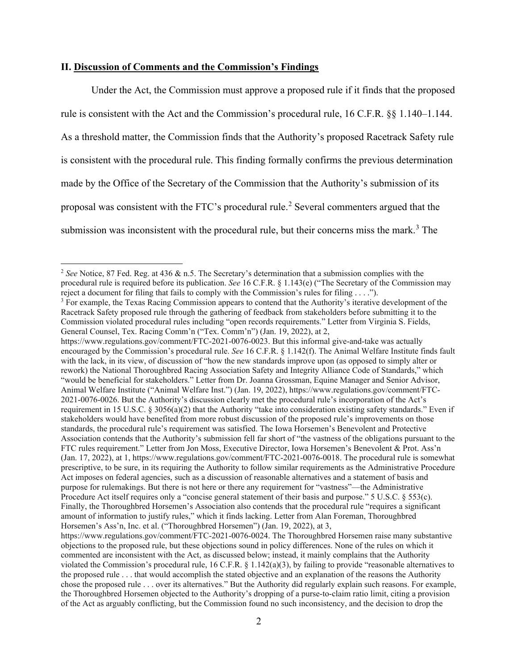### **II. Discussion of Comments and the Commission's Findings**

Under the Act, the Commission must approve a proposed rule if it finds that the proposed rule is consistent with the Act and the Commission's procedural rule, 16 C.F.R. §§ 1.140–1.144. As a threshold matter, the Commission finds that the Authority's proposed Racetrack Safety rule is consistent with the procedural rule. This finding formally confirms the previous determination made by the Office of the Secretary of the Commission that the Authority's submission of its proposal was consistent with the FTC's procedural rule.<sup>[2](#page-1-0)</sup> Several commenters argued that the submission was inconsistent with the procedural rule, but their concerns miss the mark.<sup>[3](#page-1-1)</sup> The

<span id="page-1-0"></span><sup>2</sup> *See* Notice, 87 Fed. Reg. at 436 & n.5. The Secretary's determination that a submission complies with the procedural rule is required before its publication. *See* 16 C.F.R. § 1.143(e) ("The Secretary of the Commission may reject a document for filing that fails to comply with the Commission's rules for filing . . . .").

<span id="page-1-1"></span> $3$  For example, the Texas Racing Commission appears to contend that the Authority's iterative development of the Racetrack Safety proposed rule through the gathering of feedback from stakeholders before submitting it to the Commission violated procedural rules including "open records requirements." Letter from Virginia S. Fields, General Counsel, Tex. Racing Comm'n ("Tex. Comm'n") (Jan. 19, 2022), at 2,

https://www.regulations.gov/comment/FTC-2021-0076-0023. But this informal give-and-take was actually encouraged by the Commission's procedural rule. *See* 16 C.F.R. § 1.142(f). The Animal Welfare Institute finds fault with the lack, in its view, of discussion of "how the new standards improve upon (as opposed to simply alter or rework) the National Thoroughbred Racing Association Safety and Integrity Alliance Code of Standards," which "would be beneficial for stakeholders." Letter from Dr. Joanna Grossman, Equine Manager and Senior Advisor, Animal Welfare Institute ("Animal Welfare Inst.") (Jan. 19, 2022), https://www.regulations.gov/comment/FTC-2021-0076-0026. But the Authority's discussion clearly met the procedural rule's incorporation of the Act's requirement in 15 U.S.C.  $\S 3056(a)(2)$  that the Authority "take into consideration existing safety standards." Even if stakeholders would have benefited from more robust discussion of the proposed rule's improvements on those standards, the procedural rule's requirement was satisfied. The Iowa Horsemen's Benevolent and Protective Association contends that the Authority's submission fell far short of "the vastness of the obligations pursuant to the FTC rules requirement." Letter from Jon Moss, Executive Director, Iowa Horsemen's Benevolent & Prot. Ass'n (Jan. 17, 2022), at 1, https://www.regulations.gov/comment/FTC-2021-0076-0018. The procedural rule is somewhat prescriptive, to be sure, in its requiring the Authority to follow similar requirements as the Administrative Procedure Act imposes on federal agencies, such as a discussion of reasonable alternatives and a statement of basis and purpose for rulemakings. But there is not here or there any requirement for "vastness"—the Administrative Procedure Act itself requires only a "concise general statement of their basis and purpose." 5 U.S.C. § 553(c). Finally, the Thoroughbred Horsemen's Association also contends that the procedural rule "requires a significant amount of information to justify rules," which it finds lacking. Letter from Alan Foreman, Thoroughbred Horsemen's Ass'n, Inc. et al. ("Thoroughbred Horsemen") (Jan. 19, 2022), at 3,

https://www.regulations.gov/comment/FTC-2021-0076-0024. The Thoroughbred Horsemen raise many substantive objections to the proposed rule, but these objections sound in policy differences. None of the rules on which it commented are inconsistent with the Act, as discussed below; instead, it mainly complains that the Authority violated the Commission's procedural rule,  $16$  C.F.R.  $\S$  1.142(a)(3), by failing to provide "reasonable alternatives to the proposed rule . . . that would accomplish the stated objective and an explanation of the reasons the Authority chose the proposed rule . . . over its alternatives." But the Authority did regularly explain such reasons. For example, the Thoroughbred Horsemen objected to the Authority's dropping of a purse-to-claim ratio limit, citing a provision of the Act as arguably conflicting, but the Commission found no such inconsistency, and the decision to drop the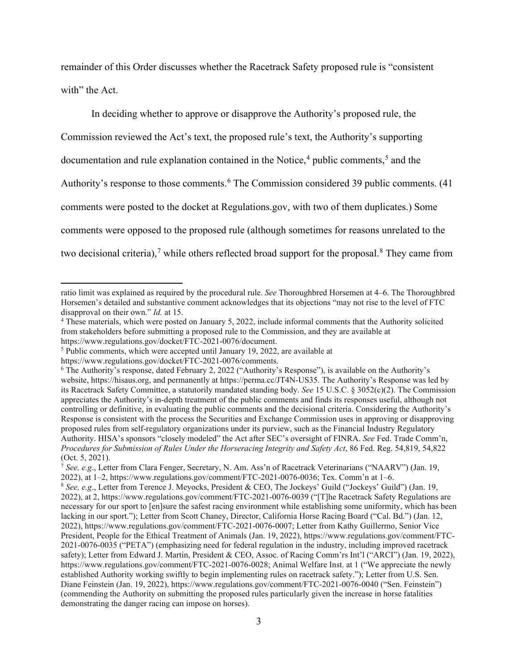remainder of this Order discusses whether the Racetrack Safety proposed rule is "consistent with" the Act.

In deciding whether to approve or disapprove the Authority's proposed rule, the Commission reviewed the Act's text, the proposed rule's text, the Authority's supporting documentation and rule explanation contained in the Notice, [4](#page-2-0) public comments, [5](#page-2-1) and the Authority's response to those comments.<sup>[6](#page-2-2)</sup> The Commission considered 39 public comments. (41 comments were posted to the docket at Regulations.gov, with two of them duplicates.) Some comments were opposed to the proposed rule (although sometimes for reasons unrelated to the two decisional criteria),<sup>[7](#page-2-3)</sup> while others reflected broad support for the proposal.<sup>[8](#page-2-4)</sup> They came from

ratio limit was explained as required by the procedural rule. *See* Thoroughbred Horsemen at 4–6. The Thoroughbred Horsemen's detailed and substantive comment acknowledges that its objections "may not rise to the level of FTC disapproval on their own." *Id.* at 15.

<span id="page-2-0"></span><sup>4</sup> These materials, which were posted on January 5, 2022, include informal comments that the Authority solicited from stakeholders before submitting a proposed rule to the Commission, and they are available at https://www.regulations.gov/docket/FTC-2021-0076/document.

<span id="page-2-1"></span><sup>5</sup> Public comments, which were accepted until January 19, 2022, are available at

https://www.regulations.gov/docket/FTC-2021-0076/comments.

<span id="page-2-2"></span><sup>6</sup> The Authority's response, dated February 2, 2022 ("Authority's Response"), is available on the Authority's website, https://hisaus.org, and permanently at https://perma.cc/JT4N-US35. The Authority's Response was led by its Racetrack Safety Committee, a statutorily mandated standing body. *See* 15 U.S.C. § 3052(c)(2). The Commission appreciates the Authority's in-depth treatment of the public comments and finds its responses useful, although not controlling or definitive, in evaluating the public comments and the decisional criteria. Considering the Authority's Response is consistent with the process the Securities and Exchange Commission uses in approving or disapproving proposed rules from self-regulatory organizations under its purview, such as the Financial Industry Regulatory Authority. HISA's sponsors "closely modeled" the Act after SEC's oversight of FINRA. *See* Fed. Trade Comm'n, *Procedures for Submission of Rules Under the Horseracing Integrity and Safety Act*, 86 Fed. Reg. 54,819, 54,822 (Oct. 5, 2021).

<span id="page-2-3"></span><sup>7</sup> *See, e.g*., Letter from Clara Fenger, Secretary, N. Am. Ass'n of Racetrack Veterinarians ("NAARV") (Jan. 19, 2022), at 1–2, https://www.regulations.gov/comment/FTC-2021-0076-0036; Tex. Comm'n at 1–6.

<span id="page-2-4"></span><sup>8</sup> *See, e.g*., Letter from Terence J. Meyocks, President & CEO, The Jockeys' Guild ("Jockeys' Guild") (Jan. 19, 2022), at 2, https://www.regulations.gov/comment/FTC-2021-0076-0039 ("[T]he Racetrack Safety Regulations are necessary for our sport to [en]sure the safest racing environment while establishing some uniformity, which has been lacking in our sport."); Letter from Scott Chaney, Director, California Horse Racing Board ("Cal. Bd.") (Jan. 12, 2022), https://www.regulations.gov/comment/FTC-2021-0076-0007; Letter from Kathy Guillermo, Senior Vice President, People for the Ethical Treatment of Animals (Jan. 19, 2022), https://www.regulations.gov/comment/FTC-2021-0076-0035 ("PETA") (emphasizing need for federal regulation in the industry, including improved racetrack safety); Letter from Edward J. Martin, President & CEO, Assoc. of Racing Comm'rs Int'l ("ARCI") (Jan. 19, 2022), https://www.regulations.gov/comment/FTC-2021-0076-0028; Animal Welfare Inst. at 1 ("We appreciate the newly established Authority working swiftly to begin implementing rules on racetrack safety."); Letter from U.S. Sen. Diane Feinstein (Jan. 19, 2022), https://www.regulations.gov/comment/FTC-2021-0076-0040 ("Sen. Feinstein") (commending the Authority on submitting the proposed rules particularly given the increase in horse fatalities demonstrating the danger racing can impose on horses).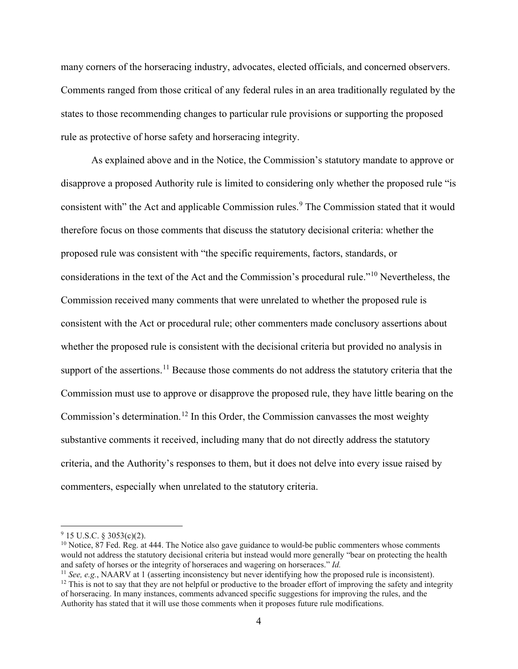many corners of the horseracing industry, advocates, elected officials, and concerned observers. Comments ranged from those critical of any federal rules in an area traditionally regulated by the states to those recommending changes to particular rule provisions or supporting the proposed rule as protective of horse safety and horseracing integrity.

As explained above and in the Notice, the Commission's statutory mandate to approve or disapprove a proposed Authority rule is limited to considering only whether the proposed rule "is consistent with" the Act and applicable Commission rules.<sup>[9](#page-3-0)</sup> The Commission stated that it would therefore focus on those comments that discuss the statutory decisional criteria: whether the proposed rule was consistent with "the specific requirements, factors, standards, or considerations in the text of the Act and the Commission's procedural rule."[10](#page-3-1) Nevertheless, the Commission received many comments that were unrelated to whether the proposed rule is consistent with the Act or procedural rule; other commenters made conclusory assertions about whether the proposed rule is consistent with the decisional criteria but provided no analysis in support of the assertions.<sup>[11](#page-3-2)</sup> Because those comments do not address the statutory criteria that the Commission must use to approve or disapprove the proposed rule, they have little bearing on the Commission's determination.<sup>[12](#page-3-3)</sup> In this Order, the Commission canvasses the most weighty substantive comments it received, including many that do not directly address the statutory criteria, and the Authority's responses to them, but it does not delve into every issue raised by commenters, especially when unrelated to the statutory criteria.

<span id="page-3-0"></span> $9$  15 U.S.C. § 3053(c)(2).

<span id="page-3-1"></span> $10$  Notice, 87 Fed. Reg. at 444. The Notice also gave guidance to would-be public commenters whose comments would not address the statutory decisional criteria but instead would more generally "bear on protecting the health and safety of horses or the integrity of horseraces and wagering on horseraces." *Id.*

<span id="page-3-2"></span><sup>&</sup>lt;sup>11</sup> *See, e.g.*, NAARV at 1 (asserting inconsistency but never identifying how the proposed rule is inconsistent).

<span id="page-3-3"></span> $12$  This is not to say that they are not helpful or productive to the broader effort of improving the safety and integrity of horseracing. In many instances, comments advanced specific suggestions for improving the rules, and the Authority has stated that it will use those comments when it proposes future rule modifications.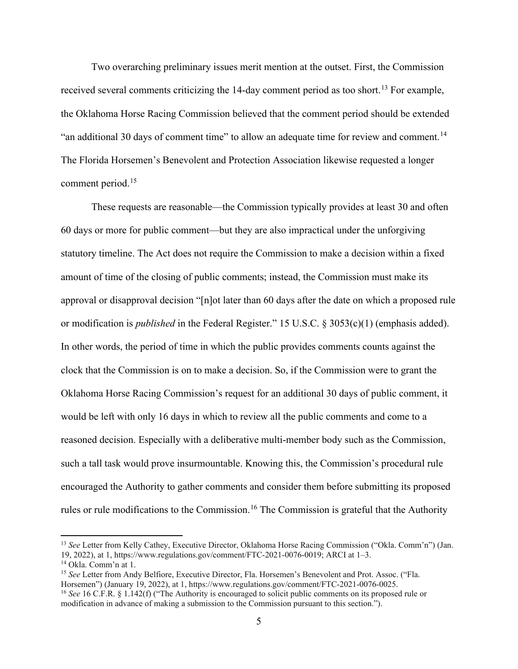Two overarching preliminary issues merit mention at the outset. First, the Commission received several comments criticizing the 14-day comment period as too short.<sup>[13](#page-4-0)</sup> For example, the Oklahoma Horse Racing Commission believed that the comment period should be extended "an additional 30 days of comment time" to allow an adequate time for review and comment.<sup>[14](#page-4-1)</sup> The Florida Horsemen's Benevolent and Protection Association likewise requested a longer comment period.<sup>[15](#page-4-2)</sup>

These requests are reasonable—the Commission typically provides at least 30 and often 60 days or more for public comment—but they are also impractical under the unforgiving statutory timeline. The Act does not require the Commission to make a decision within a fixed amount of time of the closing of public comments; instead, the Commission must make its approval or disapproval decision "[n]ot later than 60 days after the date on which a proposed rule or modification is *published* in the Federal Register." 15 U.S.C. § 3053(c)(1) (emphasis added). In other words, the period of time in which the public provides comments counts against the clock that the Commission is on to make a decision. So, if the Commission were to grant the Oklahoma Horse Racing Commission's request for an additional 30 days of public comment, it would be left with only 16 days in which to review all the public comments and come to a reasoned decision. Especially with a deliberative multi-member body such as the Commission, such a tall task would prove insurmountable. Knowing this, the Commission's procedural rule encouraged the Authority to gather comments and consider them before submitting its proposed rules or rule modifications to the Commission.<sup>[16](#page-4-3)</sup> The Commission is grateful that the Authority

<span id="page-4-0"></span><sup>&</sup>lt;sup>13</sup> See Letter from Kelly Cathey, Executive Director, Oklahoma Horse Racing Commission ("Okla. Comm'n") (Jan. 19, 2022), at 1, https://www.regulations.gov/comment/FTC-2021-0076-0019; ARCI at 1–3.

<span id="page-4-2"></span><span id="page-4-1"></span>

<sup>&</sup>lt;sup>14</sup> Okla. Comm'n at 1.<br><sup>15</sup> *See* Letter from Andy Belfiore, Executive Director, Fla. Horsemen's Benevolent and Prot. Assoc. ("Fla.<br>Horsemen") (January 19, 2022), at 1, https://www.regulations.gov/comment/FTC-2021-0076-00

<span id="page-4-3"></span><sup>&</sup>lt;sup>16</sup> See 16 C.F.R. § 1.142(f) ("The Authority is encouraged to solicit public comments on its proposed rule or modification in advance of making a submission to the Commission pursuant to this section.").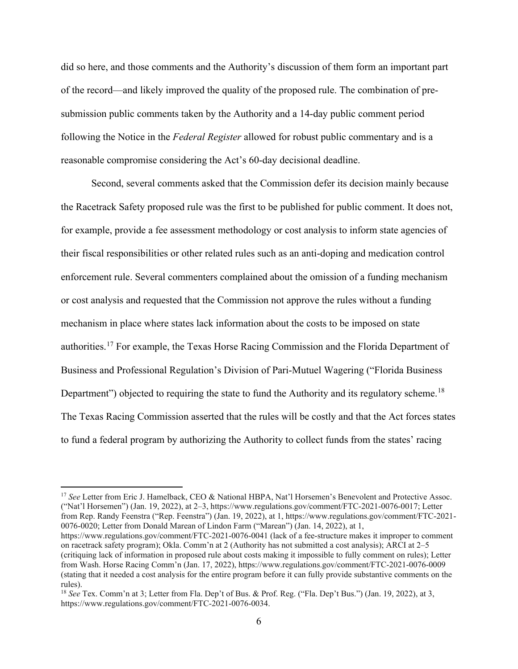did so here, and those comments and the Authority's discussion of them form an important part of the record—and likely improved the quality of the proposed rule. The combination of presubmission public comments taken by the Authority and a 14-day public comment period following the Notice in the *Federal Register* allowed for robust public commentary and is a reasonable compromise considering the Act's 60-day decisional deadline.

Second, several comments asked that the Commission defer its decision mainly because the Racetrack Safety proposed rule was the first to be published for public comment. It does not, for example, provide a fee assessment methodology or cost analysis to inform state agencies of their fiscal responsibilities or other related rules such as an anti-doping and medication control enforcement rule. Several commenters complained about the omission of a funding mechanism or cost analysis and requested that the Commission not approve the rules without a funding mechanism in place where states lack information about the costs to be imposed on state authorities.[17](#page-5-0) For example, the Texas Horse Racing Commission and the Florida Department of Business and Professional Regulation's Division of Pari-Mutuel Wagering ("Florida Business Department") objected to requiring the state to fund the Authority and its regulatory scheme.<sup>[18](#page-5-1)</sup> The Texas Racing Commission asserted that the rules will be costly and that the Act forces states to fund a federal program by authorizing the Authority to collect funds from the states' racing

<span id="page-5-0"></span><sup>17</sup> See Letter from Eric J. Hamelback, CEO & National HBPA, Nat'l Horsemen's Benevolent and Protective Assoc. ("Nat'l Horsemen") (Jan. 19, 2022), at 2–3, https://www.regulations.gov/comment/FTC-2021-0076-0017; Letter from Rep. Randy Feenstra ("Rep. Feenstra") (Jan. 19, 2022), at 1, https://www.regulations.gov/comment/FTC-2021- 0076-0020; Letter from Donald Marean of Lindon Farm ("Marean") (Jan. 14, 2022), at 1, https://www.regulations.gov/comment/FTC-2021-0076-0041 (lack of a fee-structure makes it improper to comment

on racetrack safety program); Okla. Comm'n at 2 (Authority has not submitted a cost analysis); ARCI at 2–5 (critiquing lack of information in proposed rule about costs making it impossible to fully comment on rules); Letter from Wash. Horse Racing Comm'n (Jan. 17, 2022), https://www.regulations.gov/comment/FTC-2021-0076-0009 (stating that it needed a cost analysis for the entire program before it can fully provide substantive comments on the rules).

<span id="page-5-1"></span><sup>&</sup>lt;sup>18</sup> *See* Tex. Comm'n at 3; Letter from Fla. Dep't of Bus. & Prof. Reg. ("Fla. Dep't Bus.") (Jan. 19, 2022), at 3, https://www.regulations.gov/comment/FTC-2021-0076-0034.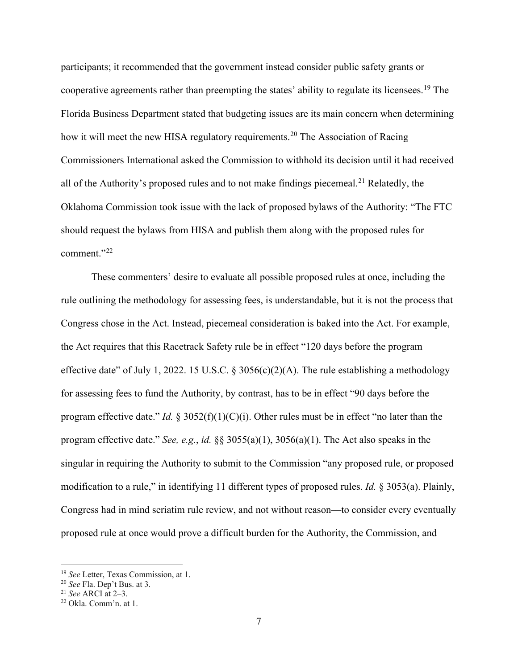participants; it recommended that the government instead consider public safety grants or cooperative agreements rather than preempting the states' ability to regulate its licensees.[19](#page-6-0) The Florida Business Department stated that budgeting issues are its main concern when determining how it will meet the new HISA regulatory requirements.<sup>[20](#page-6-1)</sup> The Association of Racing Commissioners International asked the Commission to withhold its decision until it had received all of the Authority's proposed rules and to not make findings piecemeal.<sup>[21](#page-6-2)</sup> Relatedly, the Oklahoma Commission took issue with the lack of proposed bylaws of the Authority: "The FTC should request the bylaws from HISA and publish them along with the proposed rules for comment."[22](#page-6-3)

These commenters' desire to evaluate all possible proposed rules at once, including the rule outlining the methodology for assessing fees, is understandable, but it is not the process that Congress chose in the Act. Instead, piecemeal consideration is baked into the Act. For example, the Act requires that this Racetrack Safety rule be in effect "120 days before the program effective date" of July 1, 2022. 15 U.S.C. § 3056(c)(2)(A). The rule establishing a methodology for assessing fees to fund the Authority, by contrast, has to be in effect "90 days before the program effective date." *Id.*  $\S 3052(f)(1)(C)(i)$ . Other rules must be in effect "no later than the program effective date." *See, e.g.*, *id.* §§ 3055(a)(1), 3056(a)(1). The Act also speaks in the singular in requiring the Authority to submit to the Commission "any proposed rule, or proposed modification to a rule," in identifying 11 different types of proposed rules. *Id.* § 3053(a). Plainly, Congress had in mind seriatim rule review, and not without reason—to consider every eventually proposed rule at once would prove a difficult burden for the Authority, the Commission, and

<span id="page-6-1"></span><span id="page-6-0"></span><sup>19</sup> *See* Letter, Texas Commission, at 1. 20 *See* Fla. Dep't Bus. at 3.

<span id="page-6-3"></span><span id="page-6-2"></span><sup>&</sup>lt;sup>22</sup> Okla. Comm'n. at 1.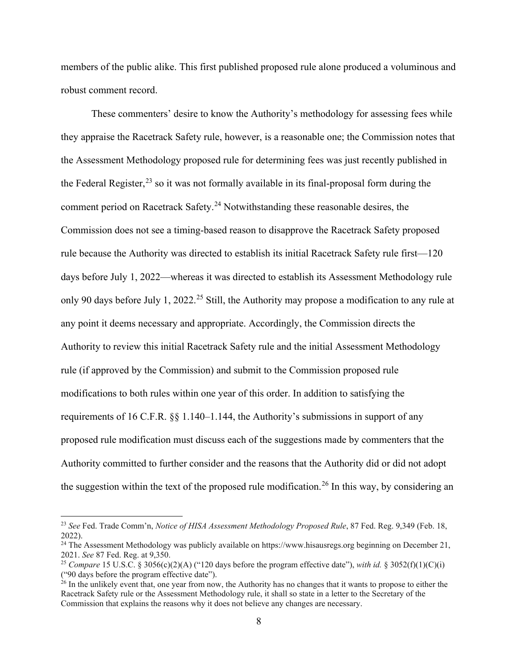members of the public alike. This first published proposed rule alone produced a voluminous and robust comment record.

These commenters' desire to know the Authority's methodology for assessing fees while they appraise the Racetrack Safety rule, however, is a reasonable one; the Commission notes that the Assessment Methodology proposed rule for determining fees was just recently published in the Federal Register,<sup>[23](#page-7-0)</sup> so it was not formally available in its final-proposal form during the comment period on Racetrack Safety.<sup>[24](#page-7-1)</sup> Notwithstanding these reasonable desires, the Commission does not see a timing-based reason to disapprove the Racetrack Safety proposed rule because the Authority was directed to establish its initial Racetrack Safety rule first—120 days before July 1, 2022—whereas it was directed to establish its Assessment Methodology rule only 90 days before July 1, 2022.<sup>[25](#page-7-2)</sup> Still, the Authority may propose a modification to any rule at any point it deems necessary and appropriate. Accordingly, the Commission directs the Authority to review this initial Racetrack Safety rule and the initial Assessment Methodology rule (if approved by the Commission) and submit to the Commission proposed rule modifications to both rules within one year of this order. In addition to satisfying the requirements of 16 C.F.R. §§ 1.140–1.144, the Authority's submissions in support of any proposed rule modification must discuss each of the suggestions made by commenters that the Authority committed to further consider and the reasons that the Authority did or did not adopt the suggestion within the text of the proposed rule modification.<sup>[26](#page-7-3)</sup> In this way, by considering an

<span id="page-7-0"></span><sup>23</sup> *See* Fed. Trade Comm'n, *Notice of HISA Assessment Methodology Proposed Rule*, 87 Fed. Reg. 9,349 (Feb. 18, 2022).

<span id="page-7-1"></span><sup>&</sup>lt;sup>24</sup> The Assessment Methodology was publicly available on https://www.hisausregs.org beginning on December 21, 2021. *See* 87 Fed. Reg. at 9,350.

<span id="page-7-2"></span><sup>&</sup>lt;sup>25</sup> *Compare* 15 U.S.C. § 3056(c)(2)(A) ("120 days before the program effective date"), *with id.* § 3052(f)(1)(C)(i) ("90 days before the program effective date").

<span id="page-7-3"></span> $^{26}$  In the unlikely event that, one year from now, the Authority has no changes that it wants to propose to either the Racetrack Safety rule or the Assessment Methodology rule, it shall so state in a letter to the Secretary of the Commission that explains the reasons why it does not believe any changes are necessary.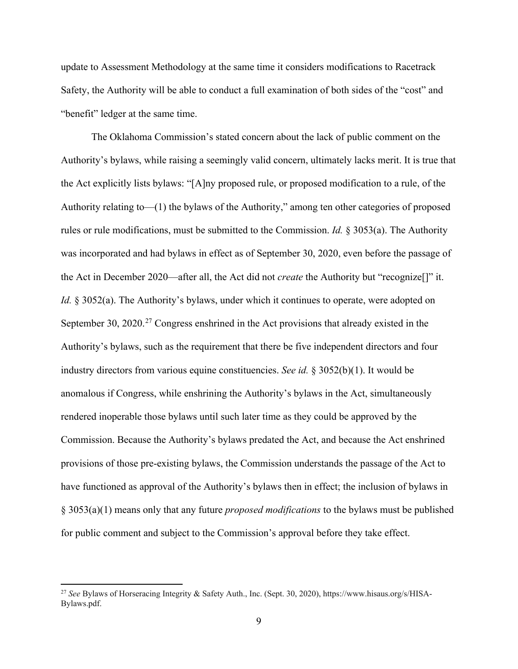update to Assessment Methodology at the same time it considers modifications to Racetrack Safety, the Authority will be able to conduct a full examination of both sides of the "cost" and "benefit" ledger at the same time.

The Oklahoma Commission's stated concern about the lack of public comment on the Authority's bylaws, while raising a seemingly valid concern, ultimately lacks merit. It is true that the Act explicitly lists bylaws: "[A]ny proposed rule, or proposed modification to a rule, of the Authority relating to—(1) the bylaws of the Authority," among ten other categories of proposed rules or rule modifications, must be submitted to the Commission. *Id.* § 3053(a). The Authority was incorporated and had bylaws in effect as of September 30, 2020, even before the passage of the Act in December 2020—after all, the Act did not *create* the Authority but "recognize[]" it. *Id.* § 3052(a). The Authority's bylaws, under which it continues to operate, were adopted on September 30,  $2020$ <sup>[27](#page-8-0)</sup> Congress enshrined in the Act provisions that already existed in the Authority's bylaws, such as the requirement that there be five independent directors and four industry directors from various equine constituencies. *See id.* § 3052(b)(1). It would be anomalous if Congress, while enshrining the Authority's bylaws in the Act, simultaneously rendered inoperable those bylaws until such later time as they could be approved by the Commission. Because the Authority's bylaws predated the Act, and because the Act enshrined provisions of those pre-existing bylaws, the Commission understands the passage of the Act to have functioned as approval of the Authority's bylaws then in effect; the inclusion of bylaws in § 3053(a)(1) means only that any future *proposed modifications* to the bylaws must be published for public comment and subject to the Commission's approval before they take effect.

<span id="page-8-0"></span><sup>27</sup> *See* Bylaws of Horseracing Integrity & Safety Auth., Inc. (Sept. 30, 2020), https://www.hisaus.org/s/HISA-Bylaws.pdf.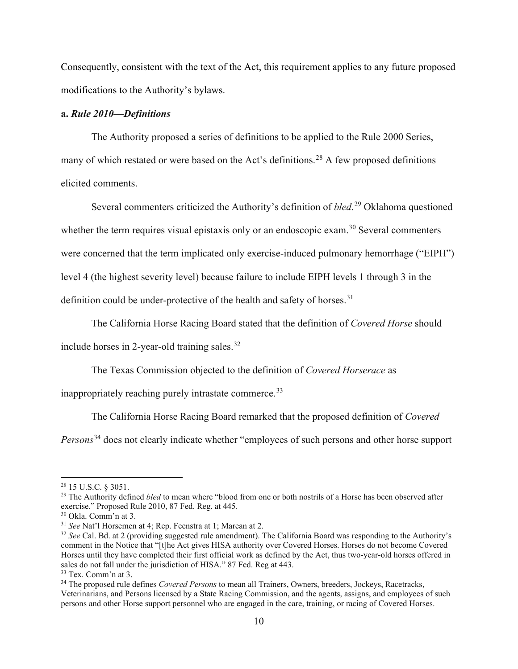Consequently, consistent with the text of the Act, this requirement applies to any future proposed modifications to the Authority's bylaws.

## **a.** *Rule 2010—Definitions*

The Authority proposed a series of definitions to be applied to the Rule 2000 Series, many of which restated or were based on the Act's definitions.<sup>[28](#page-9-0)</sup> A few proposed definitions elicited comments.

Several commenters criticized the Authority's definition of *bled*. [29](#page-9-1) Oklahoma questioned whether the term requires visual epistaxis only or an endoscopic exam.<sup>[30](#page-9-2)</sup> Several commenters were concerned that the term implicated only exercise-induced pulmonary hemorrhage ("EIPH") level 4 (the highest severity level) because failure to include EIPH levels 1 through 3 in the definition could be under-protective of the health and safety of horses.<sup>[31](#page-9-3)</sup>

The California Horse Racing Board stated that the definition of *Covered Horse* should

include horses in 2-year-old training sales.<sup>[32](#page-9-4)</sup>

The Texas Commission objected to the definition of *Covered Horserace* as

inappropriately reaching purely intrastate commerce.<sup>[33](#page-9-5)</sup>

The California Horse Racing Board remarked that the proposed definition of *Covered* 

*Persons*[34](#page-9-6) does not clearly indicate whether "employees of such persons and other horse support

<span id="page-9-0"></span><sup>28</sup> 15 U.S.C. § 3051.

<span id="page-9-1"></span><sup>&</sup>lt;sup>29</sup> The Authority defined *bled* to mean where "blood from one or both nostrils of a Horse has been observed after exercise." Proposed Rule 2010, 87 Fed. Reg. at 445.<br><sup>30</sup> Okla. Comm'n at 3.

<span id="page-9-3"></span><span id="page-9-2"></span><sup>&</sup>lt;sup>31</sup> See Nat'l Horsemen at 4; Rep. Feenstra at 1; Marean at 2.

<span id="page-9-4"></span><sup>32</sup> *See* Cal. Bd. at 2 (providing suggested rule amendment). The California Board was responding to the Authority's comment in the Notice that "[t]he Act gives HISA authority over Covered Horses. Horses do not become Covered Horses until they have completed their first official work as defined by the Act, thus two-year-old horses offered in sales do not fall under the jurisdiction of HISA." 87 Fed. Reg at 443.

<span id="page-9-5"></span><sup>33</sup> Tex. Comm'n at 3.

<span id="page-9-6"></span><sup>34</sup> The proposed rule defines *Covered Persons* to mean all Trainers, Owners, breeders, Jockeys, Racetracks, Veterinarians, and Persons licensed by a State Racing Commission, and the agents, assigns, and employees of such persons and other Horse support personnel who are engaged in the care, training, or racing of Covered Horses.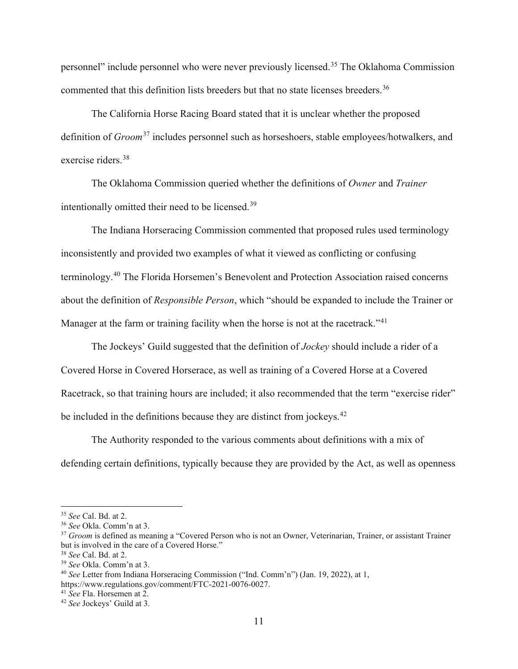personnel" include personnel who were never previously licensed.[35](#page-10-0) The Oklahoma Commission commented that this definition lists breeders but that no state licenses breeders.<sup>[36](#page-10-1)</sup>

The California Horse Racing Board stated that it is unclear whether the proposed definition of *Groom*[37](#page-10-2) includes personnel such as horseshoers, stable employees/hotwalkers, and exercise riders.[38](#page-10-3)

The Oklahoma Commission queried whether the definitions of *Owner* and *Trainer* intentionally omitted their need to be licensed.[39](#page-10-4)

The Indiana Horseracing Commission commented that proposed rules used terminology inconsistently and provided two examples of what it viewed as conflicting or confusing terminology.<sup>[40](#page-10-5)</sup> The Florida Horsemen's Benevolent and Protection Association raised concerns about the definition of *Responsible Person*, which "should be expanded to include the Trainer or Manager at the farm or training facility when the horse is not at the racetrack."<sup>[41](#page-10-6)</sup>

The Jockeys' Guild suggested that the definition of *Jockey* should include a rider of a Covered Horse in Covered Horserace, as well as training of a Covered Horse at a Covered Racetrack, so that training hours are included; it also recommended that the term "exercise rider" be included in the definitions because they are distinct from jockeys.<sup>[42](#page-10-7)</sup>

The Authority responded to the various comments about definitions with a mix of defending certain definitions, typically because they are provided by the Act, as well as openness

<span id="page-10-0"></span><sup>35</sup> *See* Cal. Bd. at 2. 36 *See* Okla. Comm'n at 3.

<span id="page-10-2"></span><span id="page-10-1"></span><sup>&</sup>lt;sup>37</sup> *Groom* is defined as meaning a "Covered Person who is not an Owner, Veterinarian, Trainer, or assistant Trainer but is involved in the care of a Covered Horse."

<span id="page-10-3"></span><sup>38</sup> *See* Cal. Bd. at 2.

<span id="page-10-5"></span><span id="page-10-4"></span><sup>39</sup> *See* Okla. Comm'n at 3. 40 *See* Letter from Indiana Horseracing Commission ("Ind. Comm'n") (Jan. 19, 2022), at 1,

<span id="page-10-6"></span>https://www.regulations.gov/comment/FTC-2021-0076-0027.<br><sup>41</sup> See Fla. Horsemen at 2.

<span id="page-10-7"></span><sup>&</sup>lt;sup>42</sup> *See* Jockeys' Guild at 3.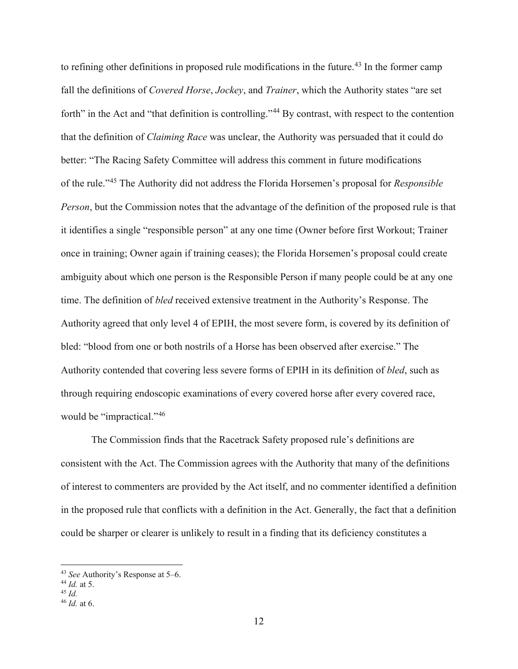to refining other definitions in proposed rule modifications in the future.<sup>[43](#page-11-0)</sup> In the former camp fall the definitions of *Covered Horse*, *Jockey*, and *Trainer*, which the Authority states "are set forth" in the Act and "that definition is controlling."<sup>[44](#page-11-1)</sup> By contrast, with respect to the contention that the definition of *Claiming Race* was unclear, the Authority was persuaded that it could do better: "The Racing Safety Committee will address this comment in future modifications of the rule."[45](#page-11-2) The Authority did not address the Florida Horsemen's proposal for *Responsible Person*, but the Commission notes that the advantage of the definition of the proposed rule is that it identifies a single "responsible person" at any one time (Owner before first Workout; Trainer once in training; Owner again if training ceases); the Florida Horsemen's proposal could create ambiguity about which one person is the Responsible Person if many people could be at any one time. The definition of *bled* received extensive treatment in the Authority's Response. The Authority agreed that only level 4 of EPIH, the most severe form, is covered by its definition of bled: "blood from one or both nostrils of a Horse has been observed after exercise." The Authority contended that covering less severe forms of EPIH in its definition of *bled*, such as through requiring endoscopic examinations of every covered horse after every covered race, would be "impractical."<sup>[46](#page-11-3)</sup>

The Commission finds that the Racetrack Safety proposed rule's definitions are consistent with the Act. The Commission agrees with the Authority that many of the definitions of interest to commenters are provided by the Act itself, and no commenter identified a definition in the proposed rule that conflicts with a definition in the Act. Generally, the fact that a definition could be sharper or clearer is unlikely to result in a finding that its deficiency constitutes a

<span id="page-11-0"></span><sup>43</sup> *See* Authority's Response at 5–6.

<span id="page-11-1"></span><sup>44</sup> *Id.* at 5.

<span id="page-11-2"></span><sup>45</sup> *Id.*

<span id="page-11-3"></span><sup>46</sup> *Id.* at 6.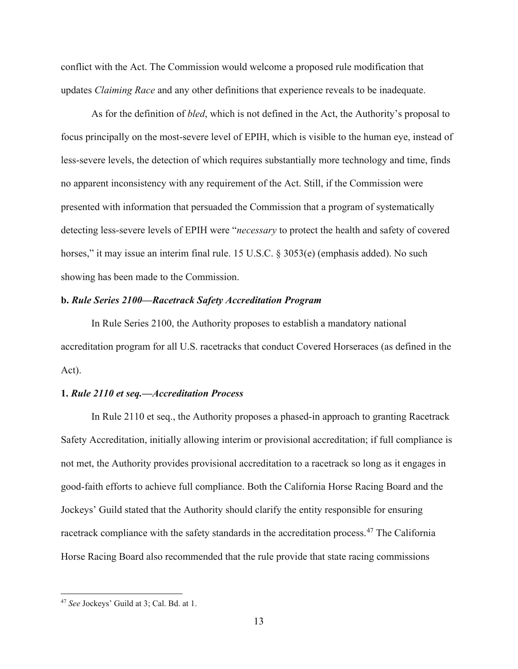conflict with the Act. The Commission would welcome a proposed rule modification that updates *Claiming Race* and any other definitions that experience reveals to be inadequate.

As for the definition of *bled*, which is not defined in the Act, the Authority's proposal to focus principally on the most-severe level of EPIH, which is visible to the human eye, instead of less-severe levels, the detection of which requires substantially more technology and time, finds no apparent inconsistency with any requirement of the Act. Still, if the Commission were presented with information that persuaded the Commission that a program of systematically detecting less-severe levels of EPIH were "*necessary* to protect the health and safety of covered horses," it may issue an interim final rule. 15 U.S.C. § 3053(e) (emphasis added). No such showing has been made to the Commission.

### **b.** *Rule Series 2100—Racetrack Safety Accreditation Program*

In Rule Series 2100, the Authority proposes to establish a mandatory national accreditation program for all U.S. racetracks that conduct Covered Horseraces (as defined in the Act).

#### **1.** *Rule 2110 et seq.—Accreditation Process*

In Rule 2110 et seq., the Authority proposes a phased-in approach to granting Racetrack Safety Accreditation, initially allowing interim or provisional accreditation; if full compliance is not met, the Authority provides provisional accreditation to a racetrack so long as it engages in good-faith efforts to achieve full compliance. Both the California Horse Racing Board and the Jockeys' Guild stated that the Authority should clarify the entity responsible for ensuring racetrack compliance with the safety standards in the accreditation process.<sup>[47](#page-12-0)</sup> The California Horse Racing Board also recommended that the rule provide that state racing commissions

<span id="page-12-0"></span><sup>47</sup> *See* Jockeys' Guild at 3; Cal. Bd. at 1.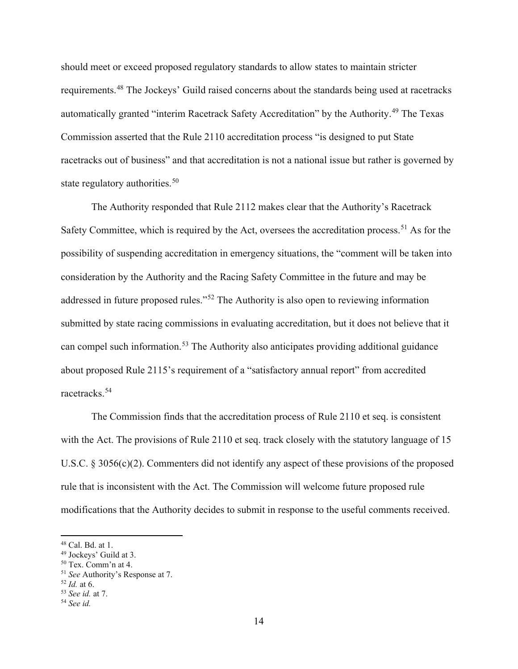should meet or exceed proposed regulatory standards to allow states to maintain stricter requirements.<sup>[48](#page-13-0)</sup> The Jockeys' Guild raised concerns about the standards being used at racetracks automatically granted "interim Racetrack Safety Accreditation" by the Authority.<sup>[49](#page-13-1)</sup> The Texas Commission asserted that the Rule 2110 accreditation process "is designed to put State racetracks out of business" and that accreditation is not a national issue but rather is governed by state regulatory authorities.<sup>[50](#page-13-2)</sup>

The Authority responded that Rule 2112 makes clear that the Authority's Racetrack Safety Committee, which is required by the Act, oversees the accreditation process.<sup>[51](#page-13-3)</sup> As for the possibility of suspending accreditation in emergency situations, the "comment will be taken into consideration by the Authority and the Racing Safety Committee in the future and may be addressed in future proposed rules."[52](#page-13-4) The Authority is also open to reviewing information submitted by state racing commissions in evaluating accreditation, but it does not believe that it can compel such information.<sup>[53](#page-13-5)</sup> The Authority also anticipates providing additional guidance about proposed Rule 2115's requirement of a "satisfactory annual report" from accredited racetracks.[54](#page-13-6)

The Commission finds that the accreditation process of Rule 2110 et seq. is consistent with the Act. The provisions of Rule 2110 et seq. track closely with the statutory language of 15 U.S.C. § 3056(c)(2). Commenters did not identify any aspect of these provisions of the proposed rule that is inconsistent with the Act. The Commission will welcome future proposed rule modifications that the Authority decides to submit in response to the useful comments received.

<span id="page-13-1"></span><span id="page-13-0"></span><sup>&</sup>lt;sup>48</sup> Cal. Bd. at 1.<br><sup>49</sup> Jockeys' Guild at 3.<br><sup>50</sup> Tex. Comm'n at 4.

<span id="page-13-3"></span><span id="page-13-2"></span><sup>51</sup> *See* Authority's Response at 7.

<span id="page-13-4"></span><sup>52</sup> *Id.* at 6.

<span id="page-13-5"></span><sup>53</sup> *See id.* at 7.

<span id="page-13-6"></span><sup>54</sup> *See id.*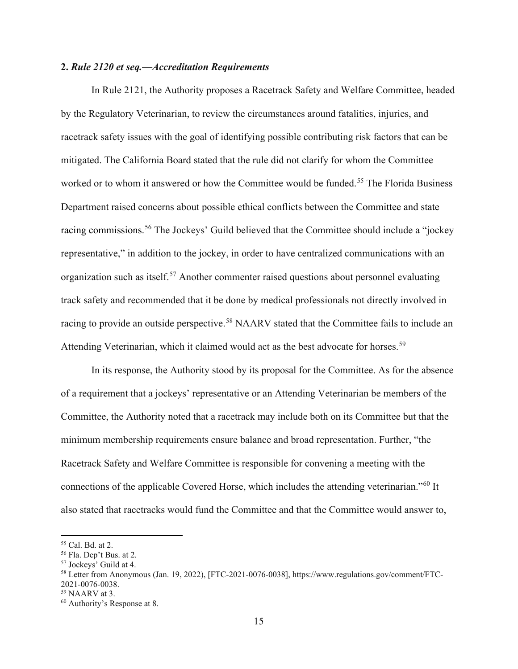## **2.** *Rule 2120 et seq.—Accreditation Requirements*

In Rule 2121, the Authority proposes a Racetrack Safety and Welfare Committee, headed by the Regulatory Veterinarian, to review the circumstances around fatalities, injuries, and racetrack safety issues with the goal of identifying possible contributing risk factors that can be mitigated. The California Board stated that the rule did not clarify for whom the Committee worked or to whom it answered or how the Committee would be funded.<sup>[55](#page-14-0)</sup> The Florida Business Department raised concerns about possible ethical conflicts between the Committee and state racing commissions.<sup>[56](#page-14-1)</sup> The Jockeys' Guild believed that the Committee should include a "jockey" representative," in addition to the jockey, in order to have centralized communications with an organization such as itself.<sup>[57](#page-14-2)</sup> Another commenter raised questions about personnel evaluating track safety and recommended that it be done by medical professionals not directly involved in racing to provide an outside perspective.<sup>[58](#page-14-3)</sup> NAARV stated that the Committee fails to include an Attending Veterinarian, which it claimed would act as the best advocate for horses.<sup>[59](#page-14-4)</sup>

In its response, the Authority stood by its proposal for the Committee. As for the absence of a requirement that a jockeys' representative or an Attending Veterinarian be members of the Committee, the Authority noted that a racetrack may include both on its Committee but that the minimum membership requirements ensure balance and broad representation. Further, "the Racetrack Safety and Welfare Committee is responsible for convening a meeting with the connections of the applicable Covered Horse, which includes the attending veterinarian."[60](#page-14-5) It also stated that racetracks would fund the Committee and that the Committee would answer to,

<span id="page-14-3"></span><span id="page-14-2"></span>

<span id="page-14-1"></span><span id="page-14-0"></span><sup>&</sup>lt;sup>55</sup> Cal. Bd. at 2.<br><sup>56</sup> Fla. Dep't Bus. at 2.<br><sup>57</sup> Jockeys' Guild at 4.<br><sup>57</sup> Jockeys' Guild at 4.<br><sup>58</sup> Letter from Anonymous (Jan. 19, 2022), [FTC-2021-0076-0038], https://www.regulations.gov/comment/FTC-<br>2021-0076-0038.

<span id="page-14-4"></span> $59$  NAARV at 3.

<span id="page-14-5"></span><sup>60</sup> Authority's Response at 8.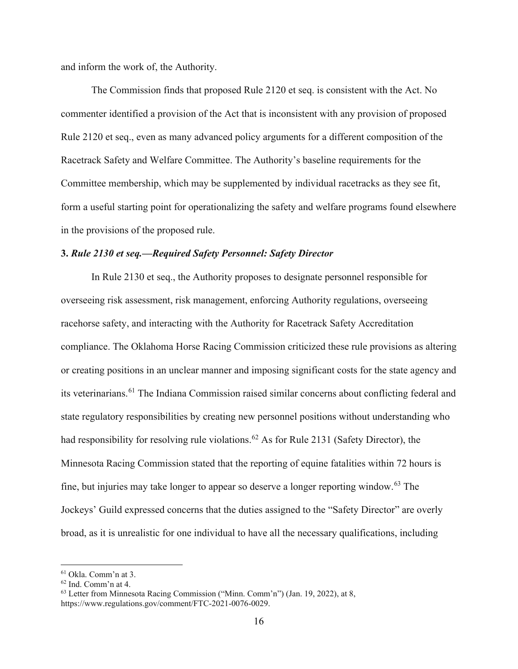and inform the work of, the Authority.

The Commission finds that proposed Rule 2120 et seq. is consistent with the Act. No commenter identified a provision of the Act that is inconsistent with any provision of proposed Rule 2120 et seq., even as many advanced policy arguments for a different composition of the Racetrack Safety and Welfare Committee. The Authority's baseline requirements for the Committee membership, which may be supplemented by individual racetracks as they see fit, form a useful starting point for operationalizing the safety and welfare programs found elsewhere in the provisions of the proposed rule.

#### **3.** *Rule 2130 et seq.—Required Safety Personnel: Safety Director*

In Rule 2130 et seq., the Authority proposes to designate personnel responsible for overseeing risk assessment, risk management, enforcing Authority regulations, overseeing racehorse safety, and interacting with the Authority for Racetrack Safety Accreditation compliance. The Oklahoma Horse Racing Commission criticized these rule provisions as altering or creating positions in an unclear manner and imposing significant costs for the state agency and its veterinarians.<sup>[61](#page-15-0)</sup> The Indiana Commission raised similar concerns about conflicting federal and state regulatory responsibilities by creating new personnel positions without understanding who had responsibility for resolving rule violations.<sup>[62](#page-15-1)</sup> As for Rule 2131 (Safety Director), the Minnesota Racing Commission stated that the reporting of equine fatalities within 72 hours is fine, but injuries may take longer to appear so deserve a longer reporting window.[63](#page-15-2) The Jockeys' Guild expressed concerns that the duties assigned to the "Safety Director" are overly broad, as it is unrealistic for one individual to have all the necessary qualifications, including

<span id="page-15-2"></span><span id="page-15-1"></span>

<span id="page-15-0"></span><sup>&</sup>lt;sup>61</sup> Okla. Comm'n at 3.<br><sup>62</sup> Ind. Comm'n at 4.<br><sup>63</sup> Letter from Minnesota Racing Commission ("Minn. Comm'n") (Jan. 19, 2022), at 8, https://www.regulations.gov/comment/FTC-2021-0076-0029.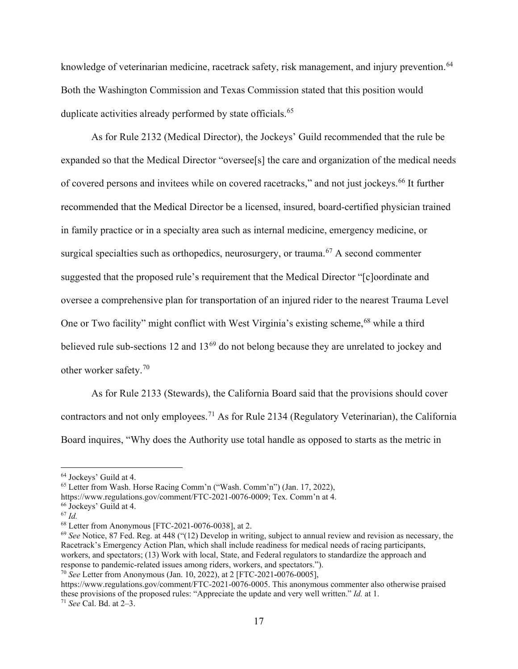knowledge of veterinarian medicine, racetrack safety, risk management, and injury prevention.<sup>[64](#page-16-0)</sup> Both the Washington Commission and Texas Commission stated that this position would duplicate activities already performed by state officials.<sup>[65](#page-16-1)</sup>

As for Rule 2132 (Medical Director), the Jockeys' Guild recommended that the rule be expanded so that the Medical Director "oversee[s] the care and organization of the medical needs of covered persons and invitees while on covered racetracks," and not just jockeys.<sup>[66](#page-16-2)</sup> It further recommended that the Medical Director be a licensed, insured, board-certified physician trained in family practice or in a specialty area such as internal medicine, emergency medicine, or surgical specialties such as orthopedics, neurosurgery, or trauma.<sup>[67](#page-16-3)</sup> A second commenter suggested that the proposed rule's requirement that the Medical Director "[c]oordinate and oversee a comprehensive plan for transportation of an injured rider to the nearest Trauma Level One or Two facility" might conflict with West Virginia's existing scheme,<sup>[68](#page-16-4)</sup> while a third believed rule sub-sections 12 and 13<sup>[69](#page-16-5)</sup> do not belong because they are unrelated to jockey and other worker safety.[70](#page-16-6)

As for Rule 2133 (Stewards), the California Board said that the provisions should cover contractors and not only employees.<sup>[71](#page-16-7)</sup> As for Rule 2134 (Regulatory Veterinarian), the California Board inquires, "Why does the Authority use total handle as opposed to starts as the metric in

<span id="page-16-1"></span><span id="page-16-0"></span><sup>&</sup>lt;sup>64</sup> Jockeys' Guild at 4.<br><sup>65</sup> Letter from Wash. Horse Racing Comm'n ("Wash. Comm'n") (Jan. 17, 2022),

https://www.regulations.gov/comment/FTC-2021-0076-0009; Tex. Comm'n at 4. 66 Jockeys' Guild at 4.

<span id="page-16-3"></span><span id="page-16-2"></span><sup>67</sup> *Id.*

<span id="page-16-4"></span><sup>68</sup> Letter from Anonymous [FTC-2021-0076-0038], at 2.

<span id="page-16-5"></span><sup>69</sup> *See* Notice, 87 Fed. Reg. at 448 ("(12) Develop in writing, subject to annual review and revision as necessary, the Racetrack's Emergency Action Plan, which shall include readiness for medical needs of racing participants, workers, and spectators; (13) Work with local, State, and Federal regulators to standardize the approach and response to pandemic-related issues among riders, workers, and spectators.").

<span id="page-16-6"></span><sup>70</sup> *See* Letter from Anonymous (Jan. 10, 2022), at 2 [FTC-2021**-**0076-0005],

<span id="page-16-7"></span>https://www.regulations.gov/comment/FTC-2021-0076-0005. This anonymous commenter also otherwise praised these provisions of the proposed rules: "Appreciate the update and very well written." *Id.* at 1. <sup>71</sup> *See* Cal. Bd. at 2–3.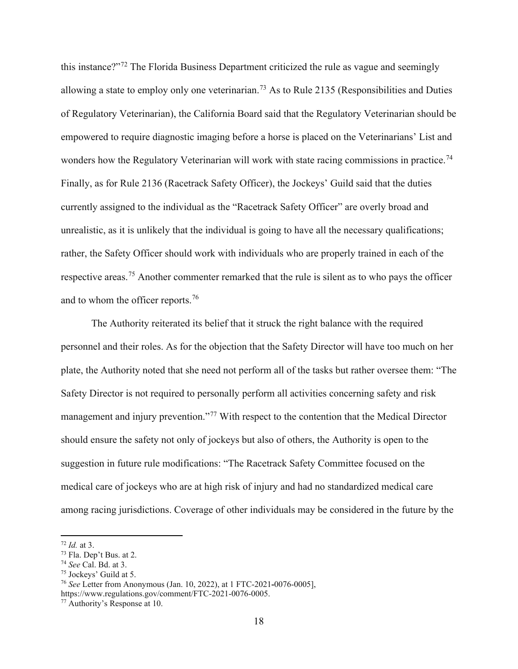this instance?"[72](#page-17-0) The Florida Business Department criticized the rule as vague and seemingly allowing a state to employ only one veterinarian.<sup>[73](#page-17-1)</sup> As to Rule 2135 (Responsibilities and Duties of Regulatory Veterinarian), the California Board said that the Regulatory Veterinarian should be empowered to require diagnostic imaging before a horse is placed on the Veterinarians' List and wonders how the Regulatory Veterinarian will work with state racing commissions in practice.<sup>[74](#page-17-2)</sup> Finally, as for Rule 2136 (Racetrack Safety Officer), the Jockeys' Guild said that the duties currently assigned to the individual as the "Racetrack Safety Officer" are overly broad and unrealistic, as it is unlikely that the individual is going to have all the necessary qualifications; rather, the Safety Officer should work with individuals who are properly trained in each of the respective areas.[75](#page-17-3) Another commenter remarked that the rule is silent as to who pays the officer and to whom the officer reports.[76](#page-17-4)

The Authority reiterated its belief that it struck the right balance with the required personnel and their roles. As for the objection that the Safety Director will have too much on her plate, the Authority noted that she need not perform all of the tasks but rather oversee them: "The Safety Director is not required to personally perform all activities concerning safety and risk management and injury prevention."<sup>[77](#page-17-5)</sup> With respect to the contention that the Medical Director should ensure the safety not only of jockeys but also of others, the Authority is open to the suggestion in future rule modifications: "The Racetrack Safety Committee focused on the medical care of jockeys who are at high risk of injury and had no standardized medical care among racing jurisdictions. Coverage of other individuals may be considered in the future by the

<span id="page-17-1"></span><span id="page-17-0"></span> $\frac{72 \text{ Id. at 3}}{73 \text{ Fla.}}$  Dep't Bus. at 2.

<span id="page-17-4"></span>

<span id="page-17-3"></span><span id="page-17-2"></span><sup>&</sup>lt;sup>74</sup> *See* Cal. Bd. at 3.<br><sup>75</sup> Jockeys' Guild at 5.<br><sup>76</sup> *See* Letter from Anonymous (Jan. 10, 2022), at 1 FTC-2021-0076-0005], https://www.regulations.gov/comment/FTC-2021-0076-0005.

<span id="page-17-5"></span><sup>77</sup> Authority's Response at 10.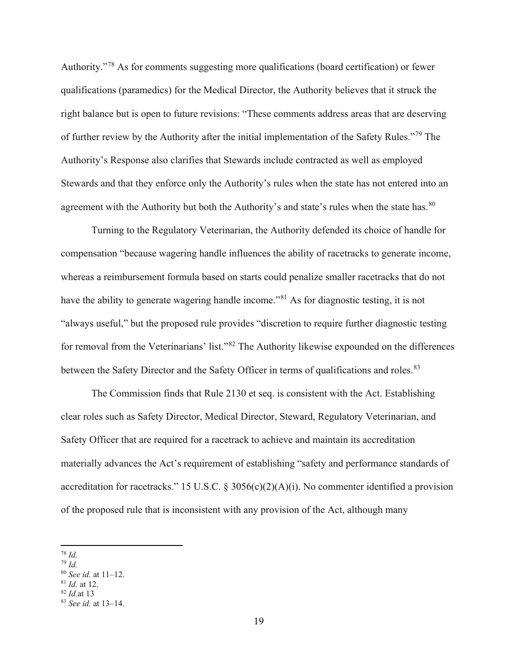Authority."[78](#page-18-0) As for comments suggesting more qualifications (board certification) or fewer qualifications (paramedics) for the Medical Director, the Authority believes that it struck the right balance but is open to future revisions: "These comments address areas that are deserving of further review by the Authority after the initial implementation of the Safety Rules."[79](#page-18-1) The Authority's Response also clarifies that Stewards include contracted as well as employed Stewards and that they enforce only the Authority's rules when the state has not entered into an agreement with the Authority but both the Authority's and state's rules when the state has.<sup>[80](#page-18-2)</sup>

Turning to the Regulatory Veterinarian, the Authority defended its choice of handle for compensation "because wagering handle influences the ability of racetracks to generate income, whereas a reimbursement formula based on starts could penalize smaller racetracks that do not have the ability to generate wagering handle income."<sup>[81](#page-18-3)</sup> As for diagnostic testing, it is not "always useful," but the proposed rule provides "discretion to require further diagnostic testing for removal from the Veterinarians' list."[82](#page-18-4) The Authority likewise expounded on the differences between the Safety Director and the Safety Officer in terms of qualifications and roles.<sup>[83](#page-18-5)</sup>

The Commission finds that Rule 2130 et seq. is consistent with the Act. Establishing clear roles such as Safety Director, Medical Director, Steward, Regulatory Veterinarian, and Safety Officer that are required for a racetrack to achieve and maintain its accreditation materially advances the Act's requirement of establishing "safety and performance standards of accreditation for racetracks." 15 U.S.C. § 3056(c)(2)(A)(i). No commenter identified a provision of the proposed rule that is inconsistent with any provision of the Act, although many

<span id="page-18-4"></span><sup>82</sup> *Id.*at 13

<span id="page-18-0"></span><sup>78</sup> *Id.*

<span id="page-18-1"></span><sup>79</sup> *Id.*

<span id="page-18-2"></span><sup>80</sup> *See id.* at 11–12.

<span id="page-18-3"></span><sup>81</sup> *Id.* at 12.

<span id="page-18-5"></span><sup>83</sup> *See id.* at 13–14.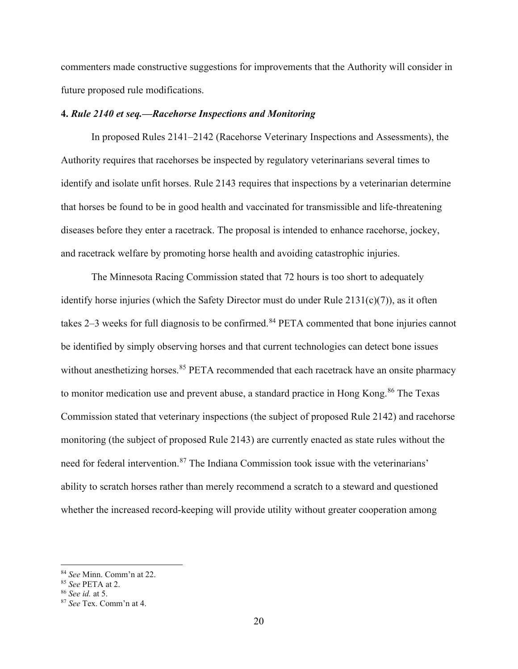commenters made constructive suggestions for improvements that the Authority will consider in future proposed rule modifications.

## **4.** *Rule 2140 et seq.—Racehorse Inspections and Monitoring*

In proposed Rules 2141–2142 (Racehorse Veterinary Inspections and Assessments), the Authority requires that racehorses be inspected by regulatory veterinarians several times to identify and isolate unfit horses. Rule 2143 requires that inspections by a veterinarian determine that horses be found to be in good health and vaccinated for transmissible and life-threatening diseases before they enter a racetrack. The proposal is intended to enhance racehorse, jockey, and racetrack welfare by promoting horse health and avoiding catastrophic injuries.

The Minnesota Racing Commission stated that 72 hours is too short to adequately identify horse injuries (which the Safety Director must do under Rule  $2131(c)(7)$ ), as it often takes  $2-3$  weeks for full diagnosis to be confirmed.<sup>[84](#page-19-0)</sup> PETA commented that bone injuries cannot be identified by simply observing horses and that current technologies can detect bone issues without anesthetizing horses.<sup>[85](#page-19-1)</sup> PETA recommended that each racetrack have an onsite pharmacy to monitor medication use and prevent abuse, a standard practice in Hong Kong.<sup>[86](#page-19-2)</sup> The Texas Commission stated that veterinary inspections (the subject of proposed Rule 2142) and racehorse monitoring (the subject of proposed Rule 2143) are currently enacted as state rules without the need for federal intervention.<sup>[87](#page-19-3)</sup> The Indiana Commission took issue with the veterinarians' ability to scratch horses rather than merely recommend a scratch to a steward and questioned whether the increased record-keeping will provide utility without greater cooperation among

<span id="page-19-0"></span><sup>84</sup> *See* Minn. Comm'n at 22. 85 *See* PETA at 2. 86 *See id.* at 5.

<span id="page-19-1"></span>

<span id="page-19-3"></span><span id="page-19-2"></span><sup>87</sup> *See* Tex. Comm'n at 4.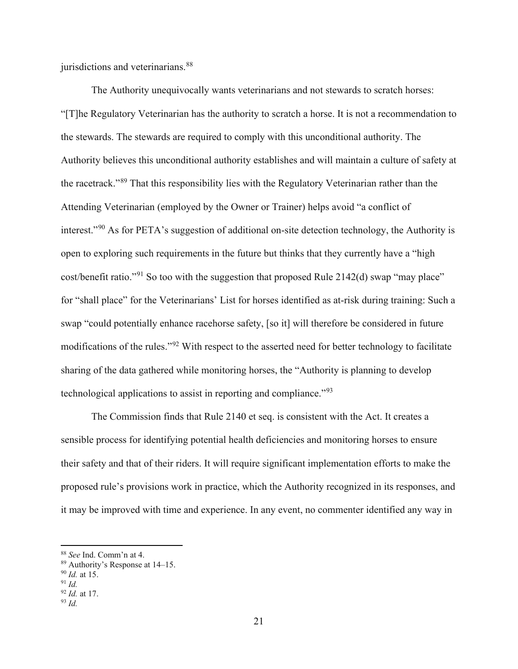jurisdictions and veterinarians.<sup>[88](#page-20-0)</sup>

The Authority unequivocally wants veterinarians and not stewards to scratch horses: "[T]he Regulatory Veterinarian has the authority to scratch a horse. It is not a recommendation to the stewards. The stewards are required to comply with this unconditional authority. The Authority believes this unconditional authority establishes and will maintain a culture of safety at the racetrack."[89](#page-20-1) That this responsibility lies with the Regulatory Veterinarian rather than the Attending Veterinarian (employed by the Owner or Trainer) helps avoid "a conflict of interest."[90](#page-20-2) As for PETA's suggestion of additional on-site detection technology, the Authority is open to exploring such requirements in the future but thinks that they currently have a "high cost/benefit ratio."<sup>[91](#page-20-3)</sup> So too with the suggestion that proposed Rule 2142(d) swap "may place" for "shall place" for the Veterinarians' List for horses identified as at-risk during training: Such a swap "could potentially enhance racehorse safety, [so it] will therefore be considered in future modifications of the rules."[92](#page-20-4) With respect to the asserted need for better technology to facilitate sharing of the data gathered while monitoring horses, the "Authority is planning to develop technological applications to assist in reporting and compliance."[93](#page-20-5)

The Commission finds that Rule 2140 et seq. is consistent with the Act. It creates a sensible process for identifying potential health deficiencies and monitoring horses to ensure their safety and that of their riders. It will require significant implementation efforts to make the proposed rule's provisions work in practice, which the Authority recognized in its responses, and it may be improved with time and experience. In any event, no commenter identified any way in

<span id="page-20-0"></span><sup>88</sup> *See* Ind. Comm'n at 4.

<span id="page-20-1"></span><sup>89</sup> Authority's Response at 14–15.

<span id="page-20-2"></span><sup>90</sup> *Id.* at 15.

<span id="page-20-3"></span><sup>91</sup> *Id.*

<span id="page-20-4"></span><sup>92</sup> *Id.* at 17.

<span id="page-20-5"></span><sup>93</sup> *Id.*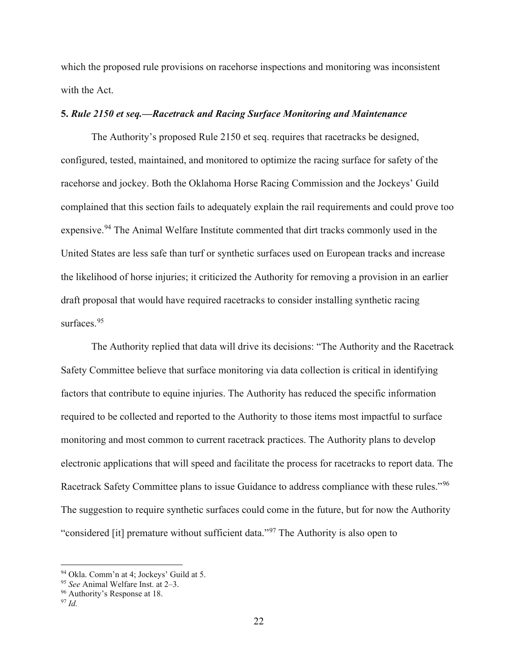which the proposed rule provisions on racehorse inspections and monitoring was inconsistent with the Act.

## **5.** *Rule 2150 et seq.—Racetrack and Racing Surface Monitoring and Maintenance*

The Authority's proposed Rule 2150 et seq. requires that racetracks be designed, configured, tested, maintained, and monitored to optimize the racing surface for safety of the racehorse and jockey. Both the Oklahoma Horse Racing Commission and the Jockeys' Guild complained that this section fails to adequately explain the rail requirements and could prove too expensive.<sup>[94](#page-21-0)</sup> The Animal Welfare Institute commented that dirt tracks commonly used in the United States are less safe than turf or synthetic surfaces used on European tracks and increase the likelihood of horse injuries; it criticized the Authority for removing a provision in an earlier draft proposal that would have required racetracks to consider installing synthetic racing surfaces.<sup>[95](#page-21-1)</sup>

The Authority replied that data will drive its decisions: "The Authority and the Racetrack Safety Committee believe that surface monitoring via data collection is critical in identifying factors that contribute to equine injuries. The Authority has reduced the specific information required to be collected and reported to the Authority to those items most impactful to surface monitoring and most common to current racetrack practices. The Authority plans to develop electronic applications that will speed and facilitate the process for racetracks to report data. The Racetrack Safety Committee plans to issue Guidance to address compliance with these rules."[96](#page-21-2) The suggestion to require synthetic surfaces could come in the future, but for now the Authority "considered [it] premature without sufficient data."[97](#page-21-3) The Authority is also open to

<span id="page-21-0"></span><sup>94</sup> Okla. Comm'n at 4; Jockeys' Guild at 5. 95 *See* Animal Welfare Inst. at 2–3. 96 Authority's Response at 18.

<span id="page-21-2"></span><span id="page-21-1"></span>

<span id="page-21-3"></span><sup>97</sup> *Id.*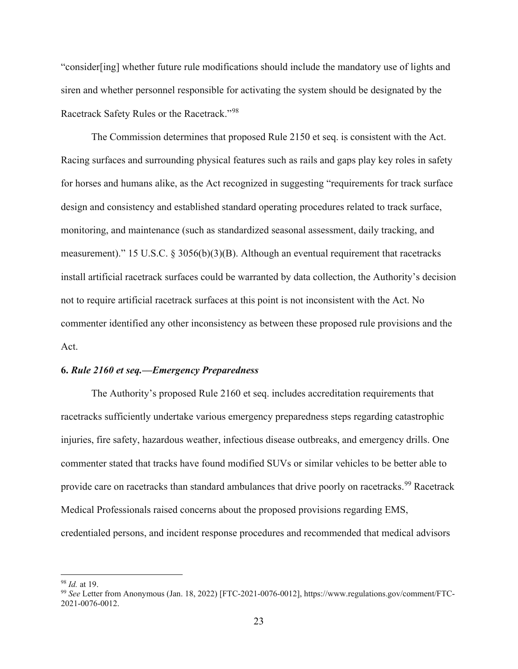"consider[ing] whether future rule modifications should include the mandatory use of lights and siren and whether personnel responsible for activating the system should be designated by the Racetrack Safety Rules or the Racetrack."[98](#page-22-0)

The Commission determines that proposed Rule 2150 et seq. is consistent with the Act. Racing surfaces and surrounding physical features such as rails and gaps play key roles in safety for horses and humans alike, as the Act recognized in suggesting "requirements for track surface design and consistency and established standard operating procedures related to track surface, monitoring, and maintenance (such as standardized seasonal assessment, daily tracking, and measurement)." 15 U.S.C. § 3056(b)(3)(B). Although an eventual requirement that racetracks install artificial racetrack surfaces could be warranted by data collection, the Authority's decision not to require artificial racetrack surfaces at this point is not inconsistent with the Act. No commenter identified any other inconsistency as between these proposed rule provisions and the Act.

#### **6.** *Rule 2160 et seq.—Emergency Preparedness*

The Authority's proposed Rule 2160 et seq. includes accreditation requirements that racetracks sufficiently undertake various emergency preparedness steps regarding catastrophic injuries, fire safety, hazardous weather, infectious disease outbreaks, and emergency drills. One commenter stated that tracks have found modified SUVs or similar vehicles to be better able to provide care on racetracks than standard ambulances that drive poorly on racetracks.<sup>[99](#page-22-1)</sup> Racetrack Medical Professionals raised concerns about the proposed provisions regarding EMS, credentialed persons, and incident response procedures and recommended that medical advisors

<span id="page-22-0"></span><sup>98</sup> *Id.* at 19.

<span id="page-22-1"></span><sup>99</sup> *See* Letter from Anonymous (Jan. 18, 2022) [FTC-2021-0076-0012], https://www.regulations.gov/comment/FTC-2021-0076-0012.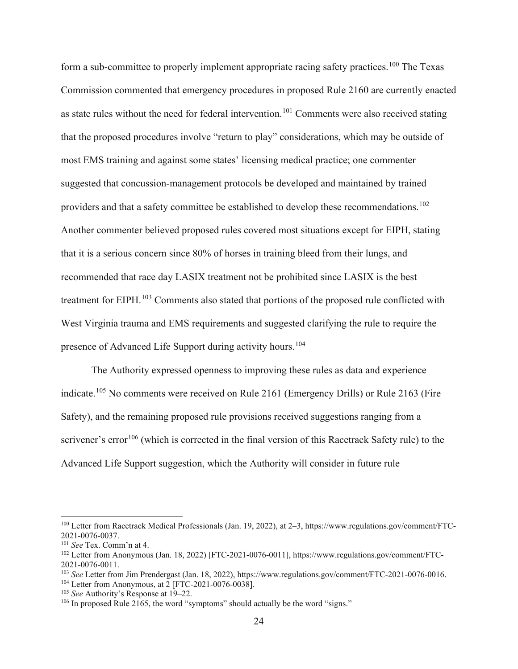form a sub-committee to properly implement appropriate racing safety practices.<sup>[100](#page-23-0)</sup> The Texas Commission commented that emergency procedures in proposed Rule 2160 are currently enacted as state rules without the need for federal intervention.<sup>[101](#page-23-1)</sup> Comments were also received stating that the proposed procedures involve "return to play" considerations, which may be outside of most EMS training and against some states' licensing medical practice; one commenter suggested that concussion-management protocols be developed and maintained by trained providers and that a safety committee be established to develop these recommendations.<sup>[102](#page-23-2)</sup> Another commenter believed proposed rules covered most situations except for EIPH, stating that it is a serious concern since 80% of horses in training bleed from their lungs, and recommended that race day LASIX treatment not be prohibited since LASIX is the best treatment for EIPH.<sup>[103](#page-23-3)</sup> Comments also stated that portions of the proposed rule conflicted with West Virginia trauma and EMS requirements and suggested clarifying the rule to require the presence of Advanced Life Support during activity hours.<sup>[104](#page-23-4)</sup>

The Authority expressed openness to improving these rules as data and experience indicate.<sup>[105](#page-23-5)</sup> No comments were received on Rule 2161 (Emergency Drills) or Rule 2163 (Fire Safety), and the remaining proposed rule provisions received suggestions ranging from a scrivener's error<sup>[106](#page-23-6)</sup> (which is corrected in the final version of this Racetrack Safety rule) to the Advanced Life Support suggestion, which the Authority will consider in future rule

<span id="page-23-0"></span><sup>100</sup> Letter from Racetrack Medical Professionals (Jan. 19, 2022), at 2–3, https://www.regulations.gov/comment/FTC-2021-0076-0037. 101 *See* Tex. Comm'n at 4.

<span id="page-23-2"></span><span id="page-23-1"></span><sup>102</sup> Letter from Anonymous (Jan. 18, 2022) [FTC-2021-0076-0011], https://www.regulations.gov/comment/FTC-2021-0076-0011. 103 *See* Letter from Jim Prendergast (Jan. 18, 2022), https://www.regulations.gov/comment/FTC-2021-0076-0016.

<span id="page-23-4"></span><span id="page-23-3"></span> $104$  Letter from Anonymous, at 2 [FTC-2021-0076-0038].

<span id="page-23-5"></span><sup>105</sup> *See* Authority's Response at 19–22.

<span id="page-23-6"></span><sup>&</sup>lt;sup>106</sup> In proposed Rule 2165, the word "symptoms" should actually be the word "signs."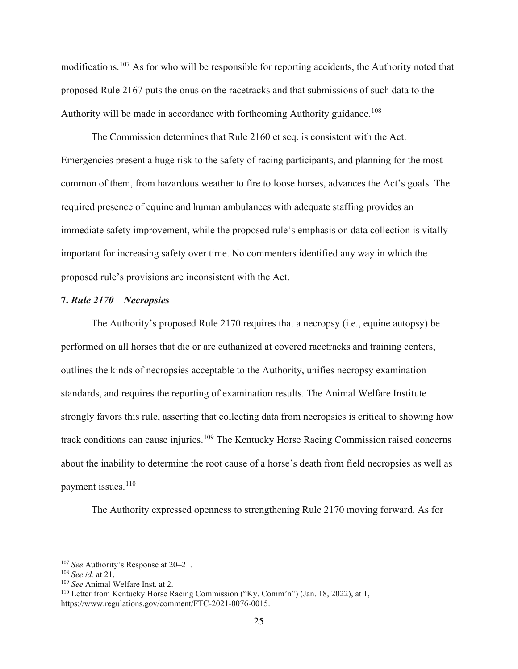modifications.[107](#page-24-0) As for who will be responsible for reporting accidents, the Authority noted that proposed Rule 2167 puts the onus on the racetracks and that submissions of such data to the Authority will be made in accordance with forthcoming Authority guidance.<sup>[108](#page-24-1)</sup>

The Commission determines that Rule 2160 et seq. is consistent with the Act. Emergencies present a huge risk to the safety of racing participants, and planning for the most common of them, from hazardous weather to fire to loose horses, advances the Act's goals. The required presence of equine and human ambulances with adequate staffing provides an immediate safety improvement, while the proposed rule's emphasis on data collection is vitally important for increasing safety over time. No commenters identified any way in which the proposed rule's provisions are inconsistent with the Act.

## **7.** *Rule 2170—Necropsies*

The Authority's proposed Rule 2170 requires that a necropsy (i.e., equine autopsy) be performed on all horses that die or are euthanized at covered racetracks and training centers, outlines the kinds of necropsies acceptable to the Authority, unifies necropsy examination standards, and requires the reporting of examination results. The Animal Welfare Institute strongly favors this rule, asserting that collecting data from necropsies is critical to showing how track conditions can cause injuries.<sup>[109](#page-24-2)</sup> The Kentucky Horse Racing Commission raised concerns about the inability to determine the root cause of a horse's death from field necropsies as well as payment issues. [110](#page-24-3)

The Authority expressed openness to strengthening Rule 2170 moving forward. As for

<span id="page-24-0"></span><sup>107</sup> *See* Authority's Response at 20–21.

<span id="page-24-1"></span><sup>&</sup>lt;sup>108</sup> *See id.* at 21.<br><sup>109</sup> *See* Animal Welfare Inst. at 2.

<span id="page-24-3"></span><span id="page-24-2"></span><sup>&</sup>lt;sup>110</sup> Letter from Kentucky Horse Racing Commission ("Ky. Comm'n") (Jan. 18, 2022), at 1, https://www.regulations.gov/comment/FTC-2021-0076-0015.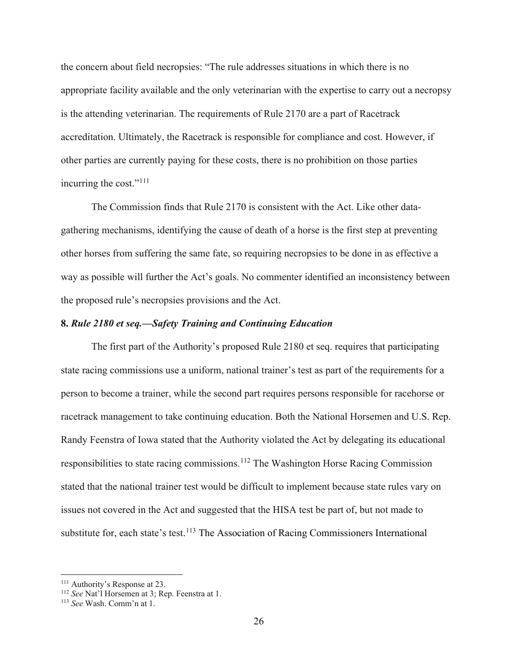the concern about field necropsies: "The rule addresses situations in which there is no appropriate facility available and the only veterinarian with the expertise to carry out a necropsy is the attending veterinarian. The requirements of Rule 2170 are a part of Racetrack accreditation. Ultimately, the Racetrack is responsible for compliance and cost. However, if other parties are currently paying for these costs, there is no prohibition on those parties incurring the cost."<sup>[111](#page-25-0)</sup>

The Commission finds that Rule 2170 is consistent with the Act. Like other datagathering mechanisms, identifying the cause of death of a horse is the first step at preventing other horses from suffering the same fate, so requiring necropsies to be done in as effective a way as possible will further the Act's goals. No commenter identified an inconsistency between the proposed rule's necropsies provisions and the Act.

## **8.** *Rule 2180 et seq.—Safety Training and Continuing Education*

The first part of the Authority's proposed Rule 2180 et seq. requires that participating state racing commissions use a uniform, national trainer's test as part of the requirements for a person to become a trainer, while the second part requires persons responsible for racehorse or racetrack management to take continuing education. Both the National Horsemen and U.S. Rep. Randy Feenstra of Iowa stated that the Authority violated the Act by delegating its educational responsibilities to state racing commissions.<sup>[112](#page-25-1)</sup> The Washington Horse Racing Commission stated that the national trainer test would be difficult to implement because state rules vary on issues not covered in the Act and suggested that the HISA test be part of, but not made to substitute for, each state's test.<sup>[113](#page-25-2)</sup> The Association of Racing Commissioners International

<span id="page-25-0"></span><sup>&</sup>lt;sup>111</sup> Authority's Response at 23.

<span id="page-25-1"></span><sup>112</sup> *See* Nat'l Horsemen at 3; Rep. Feenstra at 1.

<span id="page-25-2"></span><sup>113</sup> *See* Wash. Comm'n at 1.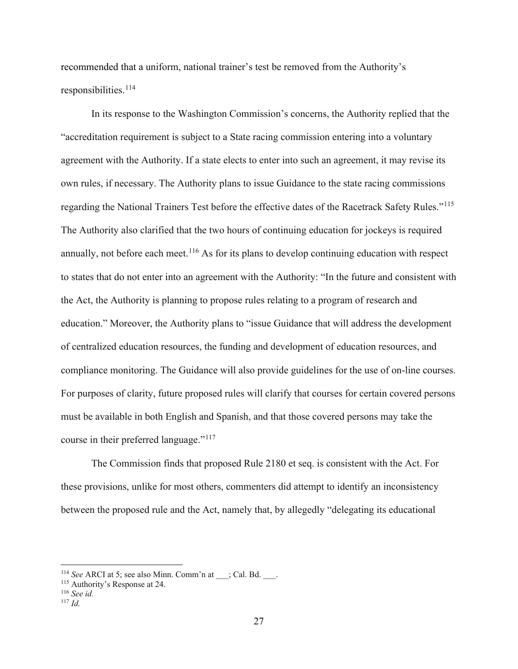recommended that a uniform, national trainer's test be removed from the Authority's responsibilities.<sup>[114](#page-26-0)</sup>

In its response to the Washington Commission's concerns, the Authority replied that the "accreditation requirement is subject to a State racing commission entering into a voluntary agreement with the Authority. If a state elects to enter into such an agreement, it may revise its own rules, if necessary. The Authority plans to issue Guidance to the state racing commissions regarding the National Trainers Test before the effective dates of the Racetrack Safety Rules."[115](#page-26-1) The Authority also clarified that the two hours of continuing education for jockeys is required annually, not before each meet.<sup>[116](#page-26-2)</sup> As for its plans to develop continuing education with respect to states that do not enter into an agreement with the Authority: "In the future and consistent with the Act, the Authority is planning to propose rules relating to a program of research and education." Moreover, the Authority plans to "issue Guidance that will address the development of centralized education resources, the funding and development of education resources, and compliance monitoring. The Guidance will also provide guidelines for the use of on-line courses. For purposes of clarity, future proposed rules will clarify that courses for certain covered persons must be available in both English and Spanish, and that those covered persons may take the course in their preferred language."<sup>[117](#page-26-3)</sup>

The Commission finds that proposed Rule 2180 et seq. is consistent with the Act. For these provisions, unlike for most others, commenters did attempt to identify an inconsistency between the proposed rule and the Act, namely that, by allegedly "delegating its educational

<span id="page-26-0"></span><sup>&</sup>lt;sup>114</sup> *See* ARCI at 5; see also Minn. Comm'n at ; Cal. Bd. .

<sup>115</sup> Authority's Response at 24.

<span id="page-26-2"></span><span id="page-26-1"></span><sup>116</sup> *See id.*

<span id="page-26-3"></span><sup>117</sup> *Id.*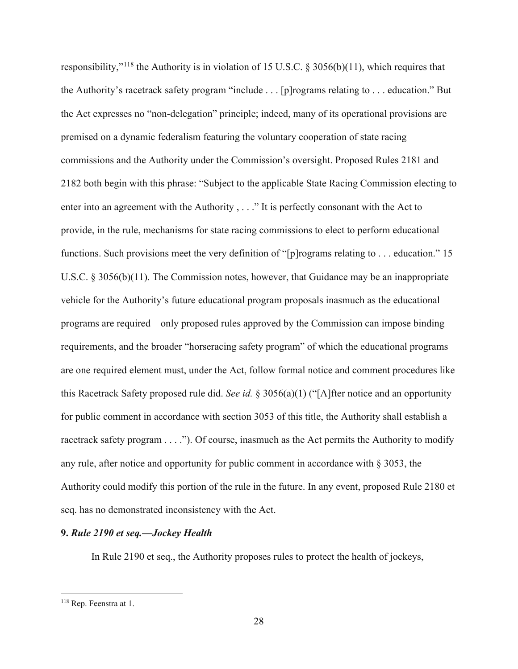responsibility,"<sup>[118](#page-27-0)</sup> the Authority is in violation of 15 U.S.C. § 3056(b)(11), which requires that the Authority's racetrack safety program "include . . . [p]rograms relating to . . . education." But the Act expresses no "non-delegation" principle; indeed, many of its operational provisions are premised on a dynamic federalism featuring the voluntary cooperation of state racing commissions and the Authority under the Commission's oversight. Proposed Rules 2181 and 2182 both begin with this phrase: "Subject to the applicable State Racing Commission electing to enter into an agreement with the Authority , . . ." It is perfectly consonant with the Act to provide, in the rule, mechanisms for state racing commissions to elect to perform educational functions. Such provisions meet the very definition of "[p]rograms relating to . . . education." 15 U.S.C. § 3056(b)(11). The Commission notes, however, that Guidance may be an inappropriate vehicle for the Authority's future educational program proposals inasmuch as the educational programs are required—only proposed rules approved by the Commission can impose binding requirements, and the broader "horseracing safety program" of which the educational programs are one required element must, under the Act, follow formal notice and comment procedures like this Racetrack Safety proposed rule did. *See id.* § 3056(a)(1) ("[A]fter notice and an opportunity for public comment in accordance with section 3053 of this title, the Authority shall establish a racetrack safety program . . . ."). Of course, inasmuch as the Act permits the Authority to modify any rule, after notice and opportunity for public comment in accordance with  $\S 3053$ , the Authority could modify this portion of the rule in the future. In any event, proposed Rule 2180 et seq. has no demonstrated inconsistency with the Act.

## **9.** *Rule 2190 et seq.—Jockey Health*

In Rule 2190 et seq., the Authority proposes rules to protect the health of jockeys,

<span id="page-27-0"></span><sup>118</sup> Rep. Feenstra at 1.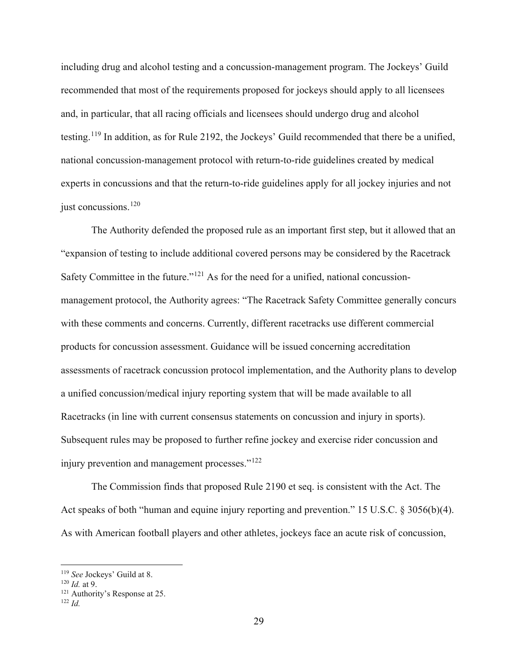including drug and alcohol testing and a concussion-management program. The Jockeys' Guild recommended that most of the requirements proposed for jockeys should apply to all licensees and, in particular, that all racing officials and licensees should undergo drug and alcohol testing.[119](#page-28-0) In addition, as for Rule 2192, the Jockeys' Guild recommended that there be a unified, national concussion-management protocol with return-to-ride guidelines created by medical experts in concussions and that the return-to-ride guidelines apply for all jockey injuries and not just concussions.<sup>[120](#page-28-1)</sup>

The Authority defended the proposed rule as an important first step, but it allowed that an "expansion of testing to include additional covered persons may be considered by the Racetrack Safety Committee in the future." $121$  As for the need for a unified, national concussionmanagement protocol, the Authority agrees: "The Racetrack Safety Committee generally concurs with these comments and concerns. Currently, different racetracks use different commercial products for concussion assessment. Guidance will be issued concerning accreditation assessments of racetrack concussion protocol implementation, and the Authority plans to develop a unified concussion/medical injury reporting system that will be made available to all Racetracks (in line with current consensus statements on concussion and injury in sports). Subsequent rules may be proposed to further refine jockey and exercise rider concussion and injury prevention and management processes."[122](#page-28-3)

The Commission finds that proposed Rule 2190 et seq. is consistent with the Act. The Act speaks of both "human and equine injury reporting and prevention." 15 U.S.C. § 3056(b)(4). As with American football players and other athletes, jockeys face an acute risk of concussion,

<span id="page-28-0"></span>

<span id="page-28-2"></span><span id="page-28-1"></span>

<sup>&</sup>lt;sup>119</sup> *See* Jockeys' Guild at 8.<br><sup>120</sup> *Id.* at 9.<br><sup>121</sup> Authority's Response at 25.

<span id="page-28-3"></span><sup>122</sup> *Id.*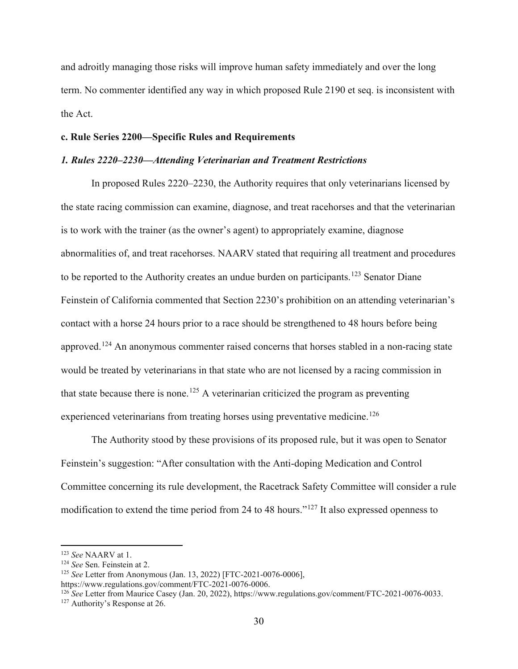and adroitly managing those risks will improve human safety immediately and over the long term. No commenter identified any way in which proposed Rule 2190 et seq. is inconsistent with the Act.

## **c. Rule Series 2200—Specific Rules and Requirements**

#### *1. Rules 2220–2230—Attending Veterinarian and Treatment Restrictions*

In proposed Rules 2220–2230, the Authority requires that only veterinarians licensed by the state racing commission can examine, diagnose, and treat racehorses and that the veterinarian is to work with the trainer (as the owner's agent) to appropriately examine, diagnose abnormalities of, and treat racehorses. NAARV stated that requiring all treatment and procedures to be reported to the Authority creates an undue burden on participants.<sup>[123](#page-29-0)</sup> Senator Diane Feinstein of California commented that Section 2230's prohibition on an attending veterinarian's contact with a horse 24 hours prior to a race should be strengthened to 48 hours before being approved.[124](#page-29-1) An anonymous commenter raised concerns that horses stabled in a non-racing state would be treated by veterinarians in that state who are not licensed by a racing commission in that state because there is none.<sup>[125](#page-29-2)</sup> A veterinarian criticized the program as preventing experienced veterinarians from treating horses using preventative medicine.<sup>[126](#page-29-3)</sup>

The Authority stood by these provisions of its proposed rule, but it was open to Senator Feinstein's suggestion: "After consultation with the Anti-doping Medication and Control Committee concerning its rule development, the Racetrack Safety Committee will consider a rule modification to extend the time period from 24 to 48 hours."[127](#page-29-4) It also expressed openness to

<span id="page-29-0"></span><sup>123</sup> *See* NAARV at 1.<br><sup>124</sup> *See* Sen. Feinstein at 2.<br><sup>125</sup> *See* Letter from Anonymous (Jan. 13, 2022) [FTC-2021-0076-0006],

<span id="page-29-1"></span>

<span id="page-29-2"></span>https://www.regulations.gov/comment/FTC-2021-0076-0006.

<span id="page-29-4"></span><span id="page-29-3"></span><sup>&</sup>lt;sup>126</sup> *See* Letter from Maurice Casey (Jan. 20, 2022), https://www.regulations.gov/comment/FTC-2021-0076-0033.<br><sup>127</sup> Authority's Response at 26.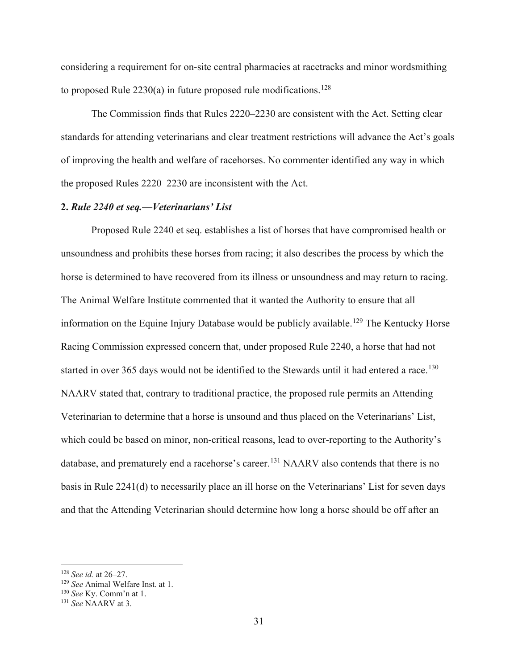considering a requirement for on-site central pharmacies at racetracks and minor wordsmithing to proposed Rule  $2230(a)$  in future proposed rule modifications.<sup>[128](#page-30-0)</sup>

The Commission finds that Rules 2220–2230 are consistent with the Act. Setting clear standards for attending veterinarians and clear treatment restrictions will advance the Act's goals of improving the health and welfare of racehorses. No commenter identified any way in which the proposed Rules 2220–2230 are inconsistent with the Act.

### **2.** *Rule 2240 et seq.—Veterinarians' List*

Proposed Rule 2240 et seq. establishes a list of horses that have compromised health or unsoundness and prohibits these horses from racing; it also describes the process by which the horse is determined to have recovered from its illness or unsoundness and may return to racing. The Animal Welfare Institute commented that it wanted the Authority to ensure that all information on the Equine Injury Database would be publicly available.<sup>[129](#page-30-1)</sup> The Kentucky Horse Racing Commission expressed concern that, under proposed Rule 2240, a horse that had not started in over 365 days would not be identified to the Stewards until it had entered a race.<sup>[130](#page-30-2)</sup> NAARV stated that, contrary to traditional practice, the proposed rule permits an Attending Veterinarian to determine that a horse is unsound and thus placed on the Veterinarians' List, which could be based on minor, non-critical reasons, lead to over-reporting to the Authority's database, and prematurely end a racehorse's career.<sup>[131](#page-30-3)</sup> NAARV also contends that there is no basis in Rule 2241(d) to necessarily place an ill horse on the Veterinarians' List for seven days and that the Attending Veterinarian should determine how long a horse should be off after an

<span id="page-30-0"></span><sup>128</sup> *See id.* at 26–27.

<span id="page-30-1"></span><sup>129</sup> *See* Animal Welfare Inst. at 1. 130 *See* Ky. Comm'n at 1. 131 *See* NAARV at 3.

<span id="page-30-2"></span>

<span id="page-30-3"></span>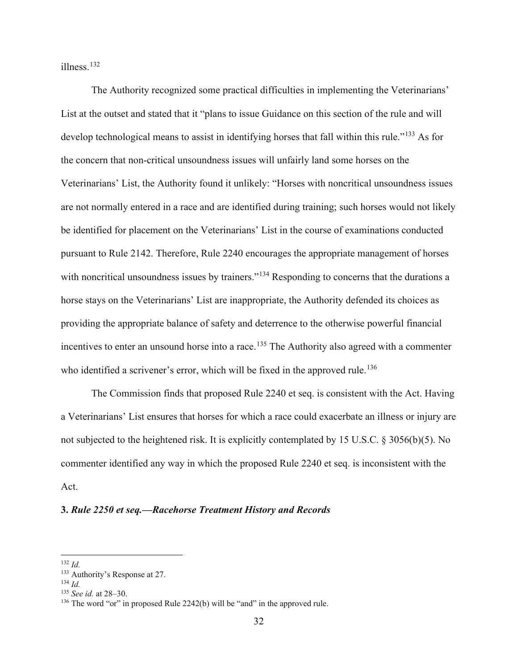illness.[132](#page-31-0)

The Authority recognized some practical difficulties in implementing the Veterinarians' List at the outset and stated that it "plans to issue Guidance on this section of the rule and will develop technological means to assist in identifying horses that fall within this rule."<sup>[133](#page-31-1)</sup> As for the concern that non-critical unsoundness issues will unfairly land some horses on the Veterinarians' List, the Authority found it unlikely: "Horses with noncritical unsoundness issues are not normally entered in a race and are identified during training; such horses would not likely be identified for placement on the Veterinarians' List in the course of examinations conducted pursuant to Rule 2142. Therefore, Rule 2240 encourages the appropriate management of horses with noncritical unsoundness issues by trainers."<sup>[134](#page-31-2)</sup> Responding to concerns that the durations a horse stays on the Veterinarians' List are inappropriate, the Authority defended its choices as providing the appropriate balance of safety and deterrence to the otherwise powerful financial incentives to enter an unsound horse into a race.<sup>[135](#page-31-3)</sup> The Authority also agreed with a commenter who identified a scrivener's error, which will be fixed in the approved rule.<sup>[136](#page-31-4)</sup>

The Commission finds that proposed Rule 2240 et seq. is consistent with the Act. Having a Veterinarians' List ensures that horses for which a race could exacerbate an illness or injury are not subjected to the heightened risk. It is explicitly contemplated by 15 U.S.C. § 3056(b)(5). No commenter identified any way in which the proposed Rule 2240 et seq. is inconsistent with the Act.

## **3.** *Rule 2250 et seq.—Racehorse Treatment History and Records*

<span id="page-31-0"></span><sup>132</sup> *Id.*

<span id="page-31-1"></span><sup>&</sup>lt;sup>133</sup> Authority's Response at 27.

<span id="page-31-2"></span><sup>134</sup> *Id.*

<span id="page-31-3"></span><sup>135</sup> *See id.* at 28–30.

<span id="page-31-4"></span><sup>&</sup>lt;sup>136</sup> The word "or" in proposed Rule 2242(b) will be "and" in the approved rule.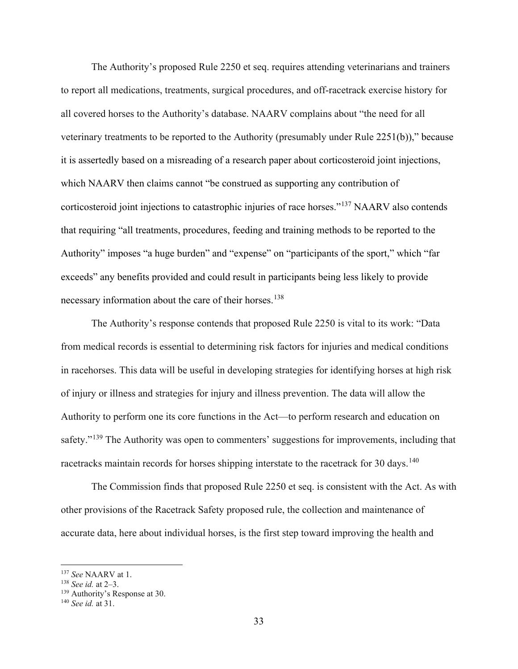The Authority's proposed Rule 2250 et seq. requires attending veterinarians and trainers to report all medications, treatments, surgical procedures, and off-racetrack exercise history for all covered horses to the Authority's database. NAARV complains about "the need for all veterinary treatments to be reported to the Authority (presumably under Rule 2251(b))," because it is assertedly based on a misreading of a research paper about corticosteroid joint injections, which NAARV then claims cannot "be construed as supporting any contribution of corticosteroid joint injections to catastrophic injuries of race horses."[137](#page-32-0) NAARV also contends that requiring "all treatments, procedures, feeding and training methods to be reported to the Authority" imposes "a huge burden" and "expense" on "participants of the sport," which "far exceeds" any benefits provided and could result in participants being less likely to provide necessary information about the care of their horses.<sup>[138](#page-32-1)</sup>

The Authority's response contends that proposed Rule 2250 is vital to its work: "Data from medical records is essential to determining risk factors for injuries and medical conditions in racehorses. This data will be useful in developing strategies for identifying horses at high risk of injury or illness and strategies for injury and illness prevention. The data will allow the Authority to perform one its core functions in the Act—to perform research and education on safety."<sup>[139](#page-32-2)</sup> The Authority was open to commenters' suggestions for improvements, including that racetracks maintain records for horses shipping interstate to the racetrack for 30 days.<sup>[140](#page-32-3)</sup>

The Commission finds that proposed Rule 2250 et seq. is consistent with the Act. As with other provisions of the Racetrack Safety proposed rule, the collection and maintenance of accurate data, here about individual horses, is the first step toward improving the health and

<span id="page-32-0"></span><sup>137</sup> *See* NAARV at 1.

<span id="page-32-1"></span><sup>138</sup> *See id.* at 2–3.

<span id="page-32-2"></span><sup>139</sup> Authority's Response at 30.

<span id="page-32-3"></span><sup>140</sup> *See id.* at 31.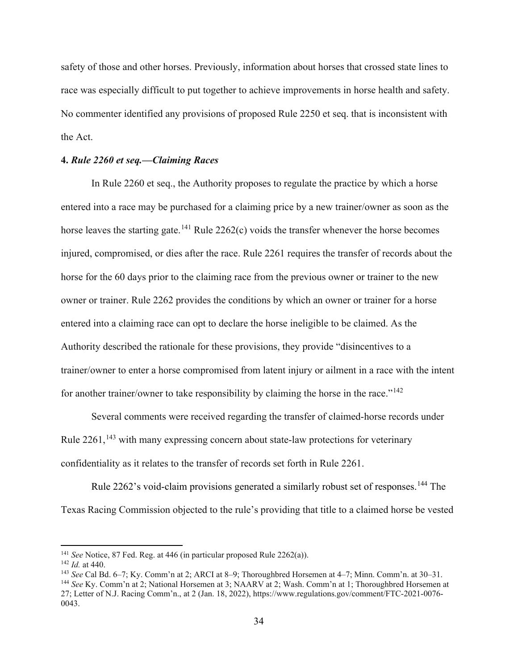safety of those and other horses. Previously, information about horses that crossed state lines to race was especially difficult to put together to achieve improvements in horse health and safety. No commenter identified any provisions of proposed Rule 2250 et seq. that is inconsistent with the Act.

## **4.** *Rule 2260 et seq.—Claiming Races*

In Rule 2260 et seq., the Authority proposes to regulate the practice by which a horse entered into a race may be purchased for a claiming price by a new trainer/owner as soon as the horse leaves the starting gate.<sup>[141](#page-33-0)</sup> Rule 2262(c) voids the transfer whenever the horse becomes injured, compromised, or dies after the race. Rule 2261 requires the transfer of records about the horse for the 60 days prior to the claiming race from the previous owner or trainer to the new owner or trainer. Rule 2262 provides the conditions by which an owner or trainer for a horse entered into a claiming race can opt to declare the horse ineligible to be claimed. As the Authority described the rationale for these provisions, they provide "disincentives to a trainer/owner to enter a horse compromised from latent injury or ailment in a race with the intent for another trainer/owner to take responsibility by claiming the horse in the race." $142$ 

Several comments were received regarding the transfer of claimed-horse records under Rule 2261,<sup>[143](#page-33-2)</sup> with many expressing concern about state-law protections for veterinary confidentiality as it relates to the transfer of records set forth in Rule 2261.

Rule 2262's void-claim provisions generated a similarly robust set of responses.<sup>[144](#page-33-3)</sup> The Texas Racing Commission objected to the rule's providing that title to a claimed horse be vested

<span id="page-33-0"></span><sup>141</sup> *See* Notice, 87 Fed. Reg. at 446 (in particular proposed Rule 2262(a)).

<span id="page-33-1"></span><sup>142</sup> *Id.* at 440.

<span id="page-33-2"></span><sup>143</sup> *See* Cal Bd. 6–7; Ky. Comm'n at 2; ARCI at 8–9; Thoroughbred Horsemen at 4–7; Minn. Comm'n. at 30–31.

<span id="page-33-3"></span><sup>144</sup> *See* Ky. Comm'n at 2; National Horsemen at 3; NAARV at 2; Wash. Comm'n at 1; Thoroughbred Horsemen at 27; Letter of N.J. Racing Comm'n., at 2 (Jan. 18, 2022), https://www.regulations.gov/comment/FTC-2021-0076- 0043.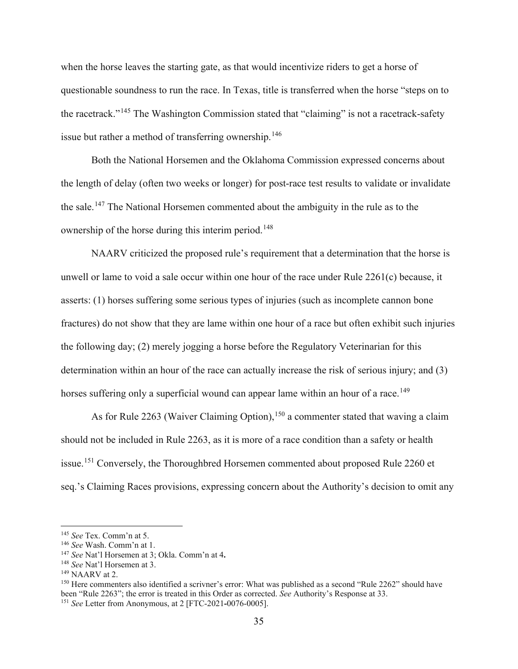when the horse leaves the starting gate, as that would incentivize riders to get a horse of questionable soundness to run the race. In Texas, title is transferred when the horse "steps on to the racetrack."[145](#page-34-0) The Washington Commission stated that "claiming" is not a racetrack-safety issue but rather a method of transferring ownership.<sup>[146](#page-34-1)</sup>

Both the National Horsemen and the Oklahoma Commission expressed concerns about the length of delay (often two weeks or longer) for post-race test results to validate or invalidate the sale.<sup>[147](#page-34-2)</sup> The National Horsemen commented about the ambiguity in the rule as to the ownership of the horse during this interim period.<sup>[148](#page-34-3)</sup>

NAARV criticized the proposed rule's requirement that a determination that the horse is unwell or lame to void a sale occur within one hour of the race under Rule 2261(c) because, it asserts: (1) horses suffering some serious types of injuries (such as incomplete cannon bone fractures) do not show that they are lame within one hour of a race but often exhibit such injuries the following day; (2) merely jogging a horse before the Regulatory Veterinarian for this determination within an hour of the race can actually increase the risk of serious injury; and (3) horses suffering only a superficial wound can appear lame within an hour of a race.<sup>[149](#page-34-4)</sup>

As for Rule 2263 (Waiver Claiming Option), <sup>[150](#page-34-5)</sup> a commenter stated that waving a claim should not be included in Rule 2263, as it is more of a race condition than a safety or health issue.[151](#page-34-6) Conversely, the Thoroughbred Horsemen commented about proposed Rule 2260 et seq.'s Claiming Races provisions, expressing concern about the Authority's decision to omit any

<span id="page-34-1"></span><span id="page-34-0"></span><sup>&</sup>lt;sup>145</sup> *See* Tex. Comm'n at 5.<br><sup>146</sup> *See* Wash. Comm'n at 1.

<span id="page-34-2"></span><sup>&</sup>lt;sup>147</sup> *See* Nat'l Horsemen at 3; Okla. Comm'n at 4.

<span id="page-34-3"></span><sup>&</sup>lt;sup>148</sup> *See* Nat'l Horsemen at 3.<br><sup>149</sup> NAARV at 2.

<span id="page-34-6"></span><span id="page-34-5"></span><span id="page-34-4"></span> $150$  Here commenters also identified a scrivner's error: What was published as a second "Rule 2262" should have been "Rule 2263"; the error is treated in this Order as corrected. *See* Authority's Response at 33. <sup>151</sup> *See* Letter from Anonymous, at 2 [FTC-2021**-**0076-0005].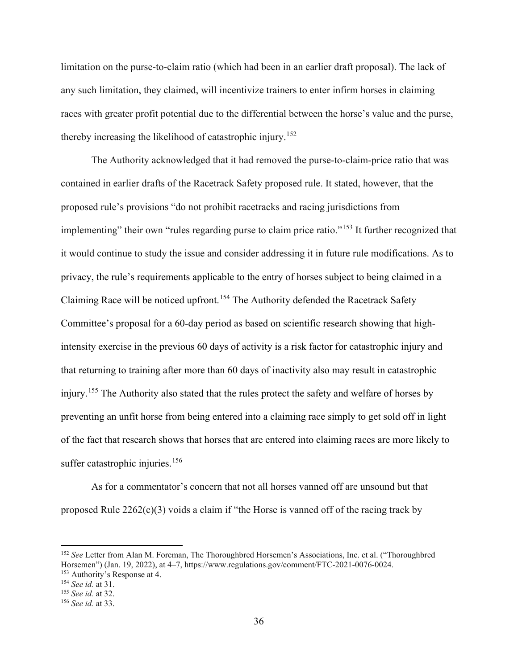limitation on the purse-to-claim ratio (which had been in an earlier draft proposal). The lack of any such limitation, they claimed, will incentivize trainers to enter infirm horses in claiming races with greater profit potential due to the differential between the horse's value and the purse, thereby increasing the likelihood of catastrophic injury. [152](#page-35-0)

The Authority acknowledged that it had removed the purse-to-claim-price ratio that was contained in earlier drafts of the Racetrack Safety proposed rule. It stated, however, that the proposed rule's provisions "do not prohibit racetracks and racing jurisdictions from implementing" their own "rules regarding purse to claim price ratio."<sup>[153](#page-35-1)</sup> It further recognized that it would continue to study the issue and consider addressing it in future rule modifications. As to privacy, the rule's requirements applicable to the entry of horses subject to being claimed in a Claiming Race will be noticed upfront.<sup>[154](#page-35-2)</sup> The Authority defended the Racetrack Safety Committee's proposal for a 60-day period as based on scientific research showing that highintensity exercise in the previous 60 days of activity is a risk factor for catastrophic injury and that returning to training after more than 60 days of inactivity also may result in catastrophic injury.<sup>[155](#page-35-3)</sup> The Authority also stated that the rules protect the safety and welfare of horses by preventing an unfit horse from being entered into a claiming race simply to get sold off in light of the fact that research shows that horses that are entered into claiming races are more likely to suffer catastrophic injuries. $156$ 

As for a commentator's concern that not all horses vanned off are unsound but that proposed Rule  $2262(c)(3)$  voids a claim if "the Horse is vanned off of the racing track by

<span id="page-35-0"></span><sup>152</sup> *See* Letter from Alan M. Foreman, The Thoroughbred Horsemen's Associations, Inc. et al. ("Thoroughbred Horsemen") (Jan. 19, 2022), at 4–7, https://www.regulations.gov/comment/FTC-2021-0076-0024. 153 Authority's Response at 4. 154 *See id.* at 31.

<span id="page-35-1"></span>

<span id="page-35-3"></span><span id="page-35-2"></span><sup>155</sup> *See id.* at 32.

<span id="page-35-4"></span>

<sup>156</sup> *See id.* at 33.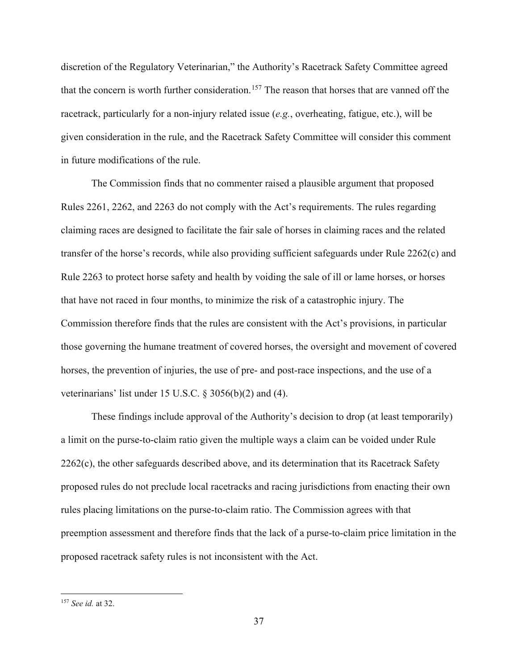discretion of the Regulatory Veterinarian," the Authority's Racetrack Safety Committee agreed that the concern is worth further consideration.<sup>[157](#page-36-0)</sup> The reason that horses that are vanned off the racetrack, particularly for a non-injury related issue (*e.g.*, overheating, fatigue, etc.), will be given consideration in the rule, and the Racetrack Safety Committee will consider this comment in future modifications of the rule.

The Commission finds that no commenter raised a plausible argument that proposed Rules 2261, 2262, and 2263 do not comply with the Act's requirements. The rules regarding claiming races are designed to facilitate the fair sale of horses in claiming races and the related transfer of the horse's records, while also providing sufficient safeguards under Rule 2262(c) and Rule 2263 to protect horse safety and health by voiding the sale of ill or lame horses, or horses that have not raced in four months, to minimize the risk of a catastrophic injury. The Commission therefore finds that the rules are consistent with the Act's provisions, in particular those governing the humane treatment of covered horses, the oversight and movement of covered horses, the prevention of injuries, the use of pre- and post-race inspections, and the use of a veterinarians' list under 15 U.S.C. § 3056(b)(2) and (4).

These findings include approval of the Authority's decision to drop (at least temporarily) a limit on the purse-to-claim ratio given the multiple ways a claim can be voided under Rule 2262(c), the other safeguards described above, and its determination that its Racetrack Safety proposed rules do not preclude local racetracks and racing jurisdictions from enacting their own rules placing limitations on the purse-to-claim ratio. The Commission agrees with that preemption assessment and therefore finds that the lack of a purse-to-claim price limitation in the proposed racetrack safety rules is not inconsistent with the Act.

<span id="page-36-0"></span><sup>157</sup> *See id.* at 32.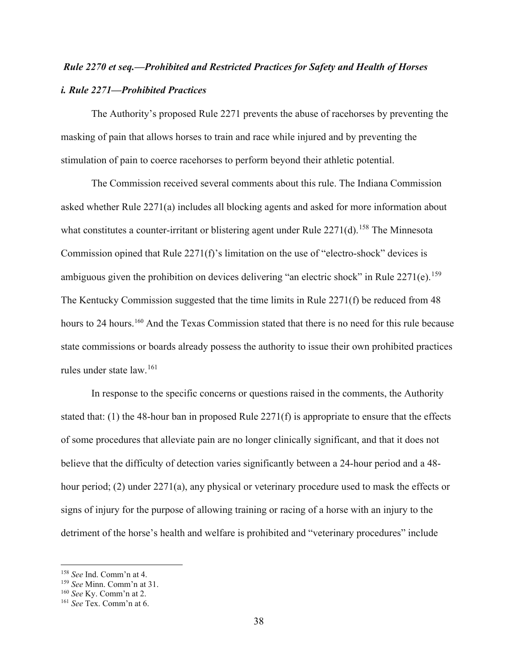# *Rule 2270 et seq.—Prohibited and Restricted Practices for Safety and Health of Horses i. Rule 2271—Prohibited Practices*

The Authority's proposed Rule 2271 prevents the abuse of racehorses by preventing the masking of pain that allows horses to train and race while injured and by preventing the stimulation of pain to coerce racehorses to perform beyond their athletic potential.

The Commission received several comments about this rule. The Indiana Commission asked whether Rule 2271(a) includes all blocking agents and asked for more information about what constitutes a counter-irritant or blistering agent under Rule  $2271(d)$ .<sup>[158](#page-37-0)</sup> The Minnesota Commission opined that Rule 2271(f)'s limitation on the use of "electro-shock" devices is ambiguous given the prohibition on devices delivering "an electric shock" in Rule  $2271(e)$ .<sup>[159](#page-37-1)</sup> The Kentucky Commission suggested that the time limits in Rule 2271(f) be reduced from 48 hours to 24 hours.<sup>[160](#page-37-2)</sup> And the Texas Commission stated that there is no need for this rule because state commissions or boards already possess the authority to issue their own prohibited practices rules under state law.[161](#page-37-3)

In response to the specific concerns or questions raised in the comments, the Authority stated that: (1) the 48-hour ban in proposed Rule  $2271(f)$  is appropriate to ensure that the effects of some procedures that alleviate pain are no longer clinically significant, and that it does not believe that the difficulty of detection varies significantly between a 24-hour period and a 48 hour period; (2) under 2271(a), any physical or veterinary procedure used to mask the effects or signs of injury for the purpose of allowing training or racing of a horse with an injury to the detriment of the horse's health and welfare is prohibited and "veterinary procedures" include

<span id="page-37-0"></span><sup>158</sup> *See* Ind. Comm'n at 4.

<span id="page-37-1"></span><sup>159</sup> *See* Minn. Comm'n at 31.

<span id="page-37-2"></span><sup>160</sup> *See* Ky. Comm'n at 2.

<span id="page-37-3"></span><sup>161</sup> *See* Tex. Comm'n at 6.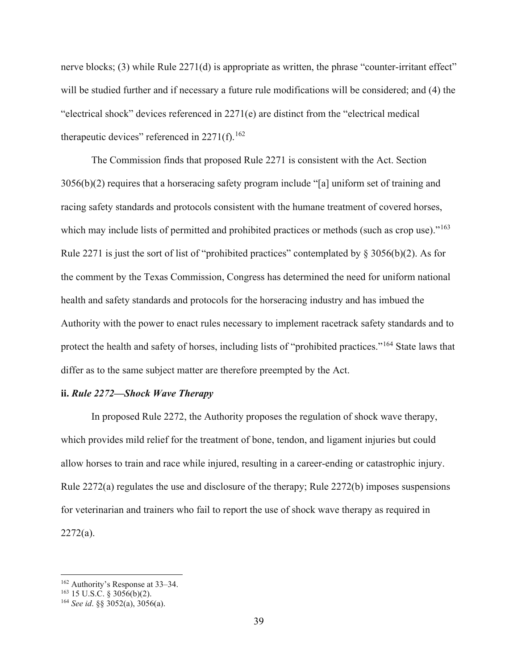nerve blocks; (3) while Rule 2271(d) is appropriate as written, the phrase "counter-irritant effect" will be studied further and if necessary a future rule modifications will be considered; and (4) the "electrical shock" devices referenced in 2271(e) are distinct from the "electrical medical therapeutic devices" referenced in  $2271(f)$ .<sup>[162](#page-38-0)</sup>

The Commission finds that proposed Rule 2271 is consistent with the Act. Section 3056(b)(2) requires that a horseracing safety program include "[a] uniform set of training and racing safety standards and protocols consistent with the humane treatment of covered horses, which may include lists of permitted and prohibited practices or methods (such as crop use)."<sup>[163](#page-38-1)</sup> Rule 2271 is just the sort of list of "prohibited practices" contemplated by § 3056(b)(2). As for the comment by the Texas Commission, Congress has determined the need for uniform national health and safety standards and protocols for the horseracing industry and has imbued the Authority with the power to enact rules necessary to implement racetrack safety standards and to protect the health and safety of horses, including lists of "prohibited practices."[164](#page-38-2) State laws that differ as to the same subject matter are therefore preempted by the Act.

### **ii.** *Rule 2272—Shock Wave Therapy*

In proposed Rule 2272, the Authority proposes the regulation of shock wave therapy, which provides mild relief for the treatment of bone, tendon, and ligament injuries but could allow horses to train and race while injured, resulting in a career-ending or catastrophic injury. Rule 2272(a) regulates the use and disclosure of the therapy; Rule 2272(b) imposes suspensions for veterinarian and trainers who fail to report the use of shock wave therapy as required in 2272(a).

<span id="page-38-0"></span><sup>162</sup> Authority's Response at 33–34.

<span id="page-38-1"></span> $163$  15 U.S.C. § 3056(b)(2).

<span id="page-38-2"></span><sup>164</sup> *See id*. §§ 3052(a), 3056(a).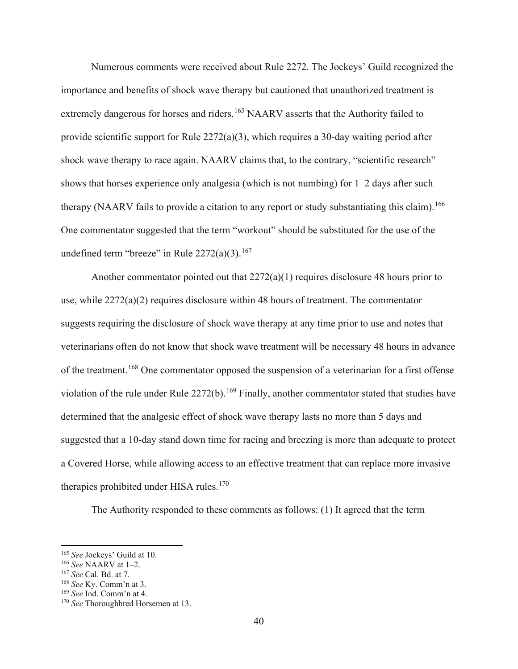Numerous comments were received about Rule 2272. The Jockeys' Guild recognized the importance and benefits of shock wave therapy but cautioned that unauthorized treatment is extremely dangerous for horses and riders.<sup>[165](#page-39-0)</sup> NAARV asserts that the Authority failed to provide scientific support for Rule 2272(a)(3), which requires a 30-day waiting period after shock wave therapy to race again. NAARV claims that, to the contrary, "scientific research" shows that horses experience only analgesia (which is not numbing) for 1–2 days after such therapy (NAARV fails to provide a citation to any report or study substantiating this claim). <sup>[166](#page-39-1)</sup> One commentator suggested that the term "workout" should be substituted for the use of the undefined term "breeze" in Rule  $2272(a)(3)$ .<sup>[167](#page-39-2)</sup>

Another commentator pointed out that 2272(a)(1) requires disclosure 48 hours prior to use, while  $2272(a)(2)$  requires disclosure within 48 hours of treatment. The commentator suggests requiring the disclosure of shock wave therapy at any time prior to use and notes that veterinarians often do not know that shock wave treatment will be necessary 48 hours in advance of the treatment.[168](#page-39-3) One commentator opposed the suspension of a veterinarian for a first offense violation of the rule under Rule 2272(b).<sup>[169](#page-39-4)</sup> Finally, another commentator stated that studies have determined that the analgesic effect of shock wave therapy lasts no more than 5 days and suggested that a 10-day stand down time for racing and breezing is more than adequate to protect a Covered Horse, while allowing access to an effective treatment that can replace more invasive therapies prohibited under HISA rules.<sup>[170](#page-39-5)</sup>

The Authority responded to these comments as follows: (1) It agreed that the term

<span id="page-39-1"></span><span id="page-39-0"></span><sup>165</sup> *See* Jockeys' Guild at 10. 166 *See* NAARV at 1–2. 167 *See* Cal. Bd. at 7.

<span id="page-39-3"></span><span id="page-39-2"></span><sup>168</sup> *See* Ky. Comm'n at 3.

<span id="page-39-4"></span><sup>169</sup> *See* Ind. Comm'n at 4.

<span id="page-39-5"></span><sup>170</sup> *See* Thoroughbred Horsemen at 13.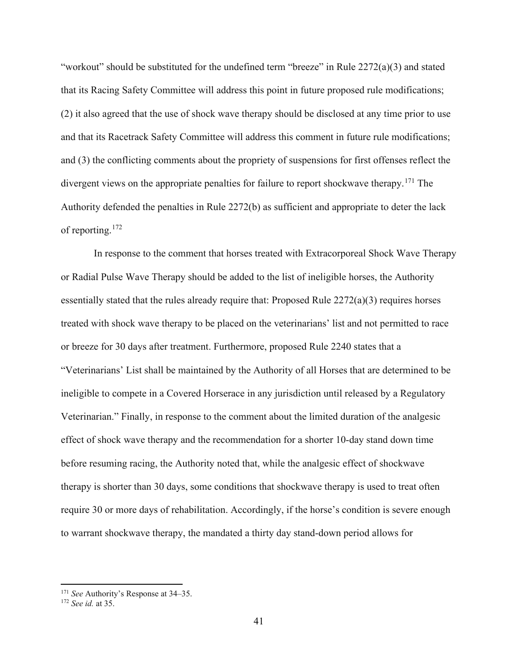"workout" should be substituted for the undefined term "breeze" in Rule 2272(a)(3) and stated that its Racing Safety Committee will address this point in future proposed rule modifications; (2) it also agreed that the use of shock wave therapy should be disclosed at any time prior to use and that its Racetrack Safety Committee will address this comment in future rule modifications; and (3) the conflicting comments about the propriety of suspensions for first offenses reflect the divergent views on the appropriate penalties for failure to report shockwave therapy.<sup>[171](#page-40-0)</sup> The Authority defended the penalties in Rule 2272(b) as sufficient and appropriate to deter the lack of reporting. [172](#page-40-1)

In response to the comment that horses treated with Extracorporeal Shock Wave Therapy or Radial Pulse Wave Therapy should be added to the list of ineligible horses, the Authority essentially stated that the rules already require that: Proposed Rule 2272(a)(3) requires horses treated with shock wave therapy to be placed on the veterinarians' list and not permitted to race or breeze for 30 days after treatment. Furthermore, proposed Rule 2240 states that a "Veterinarians' List shall be maintained by the Authority of all Horses that are determined to be ineligible to compete in a Covered Horserace in any jurisdiction until released by a Regulatory Veterinarian." Finally, in response to the comment about the limited duration of the analgesic effect of shock wave therapy and the recommendation for a shorter 10-day stand down time before resuming racing, the Authority noted that, while the analgesic effect of shockwave therapy is shorter than 30 days, some conditions that shockwave therapy is used to treat often require 30 or more days of rehabilitation. Accordingly, if the horse's condition is severe enough to warrant shockwave therapy, the mandated a thirty day stand-down period allows for

<span id="page-40-1"></span><span id="page-40-0"></span><sup>171</sup> *See* Authority's Response at 34–35. 172 *See id.* at 35.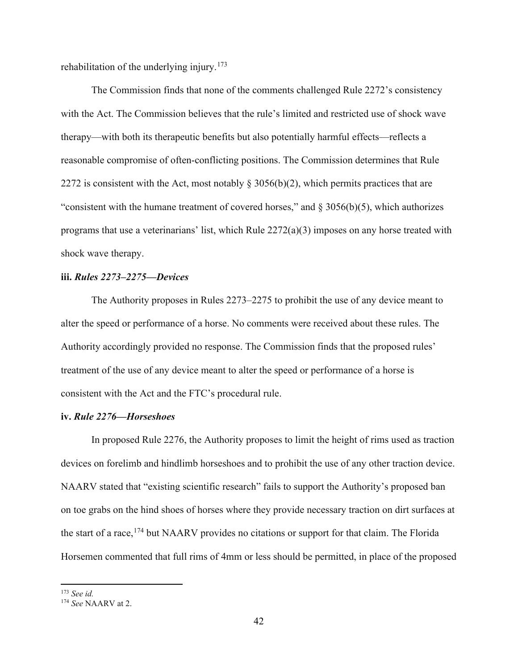rehabilitation of the underlying injury.<sup>[173](#page-41-0)</sup>

The Commission finds that none of the comments challenged Rule 2272's consistency with the Act. The Commission believes that the rule's limited and restricted use of shock wave therapy—with both its therapeutic benefits but also potentially harmful effects—reflects a reasonable compromise of often-conflicting positions. The Commission determines that Rule 2272 is consistent with the Act, most notably  $\S 3056(b)(2)$ , which permits practices that are "consistent with the humane treatment of covered horses," and  $\S 3056(b)(5)$ , which authorizes programs that use a veterinarians' list, which Rule 2272(a)(3) imposes on any horse treated with shock wave therapy.

## **iii.** *Rules 2273–2275—Devices*

The Authority proposes in Rules 2273–2275 to prohibit the use of any device meant to alter the speed or performance of a horse. No comments were received about these rules. The Authority accordingly provided no response. The Commission finds that the proposed rules' treatment of the use of any device meant to alter the speed or performance of a horse is consistent with the Act and the FTC's procedural rule.

## **iv.** *Rule 2276—Horseshoes*

In proposed Rule 2276, the Authority proposes to limit the height of rims used as traction devices on forelimb and hindlimb horseshoes and to prohibit the use of any other traction device. NAARV stated that "existing scientific research" fails to support the Authority's proposed ban on toe grabs on the hind shoes of horses where they provide necessary traction on dirt surfaces at the start of a race,  $^{174}$  $^{174}$  $^{174}$  but NAARV provides no citations or support for that claim. The Florida Horsemen commented that full rims of 4mm or less should be permitted, in place of the proposed

<span id="page-41-0"></span><sup>173</sup> *See id.*

<span id="page-41-1"></span><sup>174</sup> *See* NAARV at 2.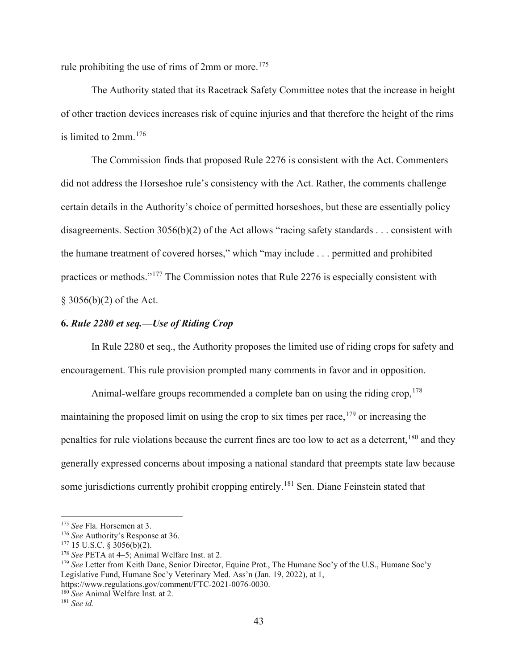rule prohibiting the use of rims of 2mm or more.<sup>[175](#page-42-0)</sup>

The Authority stated that its Racetrack Safety Committee notes that the increase in height of other traction devices increases risk of equine injuries and that therefore the height of the rims is limited to 2mm.[176](#page-42-1)

The Commission finds that proposed Rule 2276 is consistent with the Act. Commenters did not address the Horseshoe rule's consistency with the Act. Rather, the comments challenge certain details in the Authority's choice of permitted horseshoes, but these are essentially policy disagreements. Section 3056(b)(2) of the Act allows "racing safety standards . . . consistent with the humane treatment of covered horses," which "may include . . . permitted and prohibited practices or methods."[177](#page-42-2) The Commission notes that Rule 2276 is especially consistent with § 3056(b)(2) of the Act.

## **6.** *Rule 2280 et seq.—Use of Riding Crop*

In Rule 2280 et seq., the Authority proposes the limited use of riding crops for safety and encouragement. This rule provision prompted many comments in favor and in opposition.

Animal-welfare groups recommended a complete ban on using the riding crop,  $178$ maintaining the proposed limit on using the crop to six times per race, <sup>[179](#page-42-4)</sup> or increasing the penalties for rule violations because the current fines are too low to act as a deterrent,<sup>[180](#page-42-5)</sup> and they generally expressed concerns about imposing a national standard that preempts state law because some jurisdictions currently prohibit cropping entirely.<sup>[181](#page-42-6)</sup> Sen. Diane Feinstein stated that

<span id="page-42-1"></span><span id="page-42-0"></span><sup>&</sup>lt;sup>175</sup> *See* Fla. Horsemen at 3.<br><sup>176</sup> *See* Authority's Response at 36.<br><sup>177</sup> 15 U.S.C. § 3056(b)(2).

<span id="page-42-3"></span><span id="page-42-2"></span><sup>&</sup>lt;sup>178</sup> See PETA at 4–5; Animal Welfare Inst. at 2.

<span id="page-42-4"></span><sup>179</sup> *See* Letter from Keith Dane, Senior Director, Equine Prot., The Humane Soc'y of the U.S., Humane Soc'y Legislative Fund, Humane Soc'y Veterinary Med. Ass'n (Jan. 19, 2022), at 1,

<span id="page-42-5"></span>https://www.regulations.gov/comment/FTC-2021-0076-0030. 180 *See* Animal Welfare Inst. at 2.

<span id="page-42-6"></span><sup>181</sup> *See id.*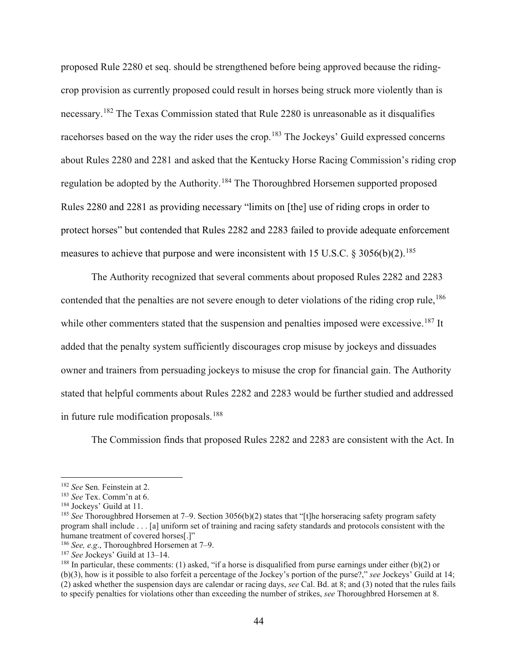proposed Rule 2280 et seq. should be strengthened before being approved because the ridingcrop provision as currently proposed could result in horses being struck more violently than is necessary.[182](#page-43-0) The Texas Commission stated that Rule 2280 is unreasonable as it disqualifies racehorses based on the way the rider uses the crop.<sup>[183](#page-43-1)</sup> The Jockeys' Guild expressed concerns about Rules 2280 and 2281 and asked that the Kentucky Horse Racing Commission's riding crop regulation be adopted by the Authority.[184](#page-43-2) The Thoroughbred Horsemen supported proposed Rules 2280 and 2281 as providing necessary "limits on [the] use of riding crops in order to protect horses" but contended that Rules 2282 and 2283 failed to provide adequate enforcement measures to achieve that purpose and were inconsistent with 15 U.S.C.  $\&$  3056(b)(2).<sup>[185](#page-43-3)</sup>

The Authority recognized that several comments about proposed Rules 2282 and 2283 contended that the penalties are not severe enough to deter violations of the riding crop rule,<sup>[186](#page-43-4)</sup> while other commenters stated that the suspension and penalties imposed were excessive.<sup>[187](#page-43-5)</sup> It added that the penalty system sufficiently discourages crop misuse by jockeys and dissuades owner and trainers from persuading jockeys to misuse the crop for financial gain. The Authority stated that helpful comments about Rules 2282 and 2283 would be further studied and addressed in future rule modification proposals.<sup>[188](#page-43-6)</sup>

The Commission finds that proposed Rules 2282 and 2283 are consistent with the Act. In

<span id="page-43-1"></span><span id="page-43-0"></span><sup>182</sup> *See* Sen. Feinstein at 2. 183 *See* Tex. Comm'n at 6.

<span id="page-43-3"></span><span id="page-43-2"></span><sup>&</sup>lt;sup>185</sup> See Thoroughbred Horsemen at 7–9. Section 3056(b)(2) states that "[t]he horseracing safety program safety program shall include . . . [a] uniform set of training and racing safety standards and protocols consistent with the humane treatment of covered horses[.]"

<span id="page-43-5"></span><span id="page-43-4"></span><sup>&</sup>lt;sup>186</sup> *See, e.g.*, Thoroughbred Horsemen at 7–9.<br><sup>187</sup> *See* Jockeys' Guild at 13–14.

<span id="page-43-6"></span><sup>&</sup>lt;sup>188</sup> In particular, these comments: (1) asked, "if a horse is disqualified from purse earnings under either  $(b)(2)$  or (b)(3), how is it possible to also forfeit a percentage of the Jockey's portion of the purse?," *see* Jockeys' Guild at 14; (2) asked whether the suspension days are calendar or racing days, *see* Cal. Bd. at 8; and (3) noted that the rules fails to specify penalties for violations other than exceeding the number of strikes, *see* Thoroughbred Horsemen at 8.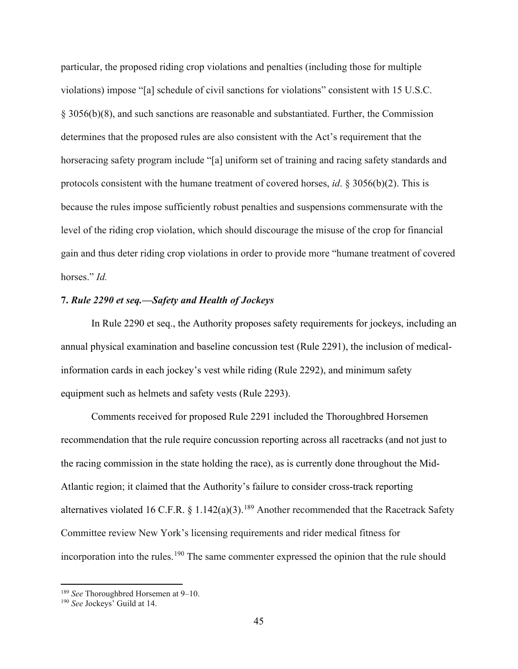particular, the proposed riding crop violations and penalties (including those for multiple violations) impose "[a] schedule of civil sanctions for violations" consistent with 15 U.S.C. § 3056(b)(8), and such sanctions are reasonable and substantiated. Further, the Commission determines that the proposed rules are also consistent with the Act's requirement that the horseracing safety program include "[a] uniform set of training and racing safety standards and protocols consistent with the humane treatment of covered horses, *id*. § 3056(b)(2). This is because the rules impose sufficiently robust penalties and suspensions commensurate with the level of the riding crop violation, which should discourage the misuse of the crop for financial gain and thus deter riding crop violations in order to provide more "humane treatment of covered horses." *Id.*

## **7.** *Rule 2290 et seq.—Safety and Health of Jockeys*

In Rule 2290 et seq., the Authority proposes safety requirements for jockeys, including an annual physical examination and baseline concussion test (Rule 2291), the inclusion of medicalinformation cards in each jockey's vest while riding (Rule 2292), and minimum safety equipment such as helmets and safety vests (Rule 2293).

Comments received for proposed Rule 2291 included the Thoroughbred Horsemen recommendation that the rule require concussion reporting across all racetracks (and not just to the racing commission in the state holding the race), as is currently done throughout the Mid-Atlantic region; it claimed that the Authority's failure to consider cross-track reporting alternatives violated 16 C.F.R. § 1.142(a)(3).<sup>[189](#page-44-0)</sup> Another recommended that the Racetrack Safety Committee review New York's licensing requirements and rider medical fitness for incorporation into the rules.<sup>[190](#page-44-1)</sup> The same commenter expressed the opinion that the rule should

<span id="page-44-0"></span><sup>189</sup> *See* Thoroughbred Horsemen at 9–10.

<span id="page-44-1"></span><sup>190</sup> *See* Jockeys' Guild at 14.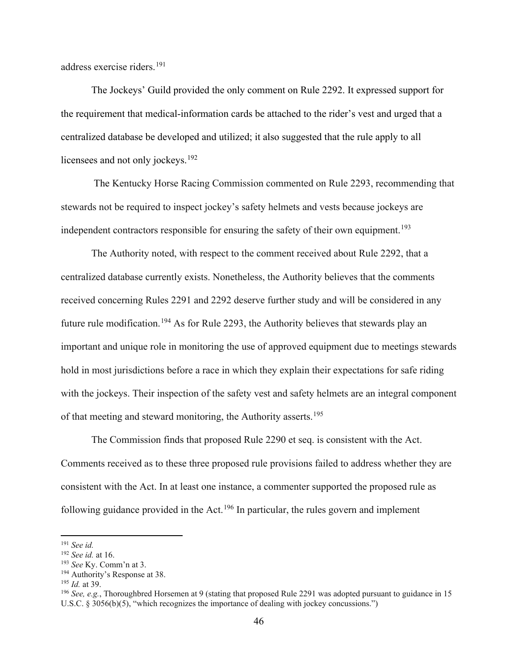address exercise riders.[191](#page-45-0)

The Jockeys' Guild provided the only comment on Rule 2292. It expressed support for the requirement that medical-information cards be attached to the rider's vest and urged that a centralized database be developed and utilized; it also suggested that the rule apply to all licensees and not only jockeys.<sup>[192](#page-45-1)</sup>

The Kentucky Horse Racing Commission commented on Rule 2293, recommending that stewards not be required to inspect jockey's safety helmets and vests because jockeys are independent contractors responsible for ensuring the safety of their own equipment.<sup>[193](#page-45-2)</sup>

The Authority noted, with respect to the comment received about Rule 2292, that a centralized database currently exists. Nonetheless, the Authority believes that the comments received concerning Rules 2291 and 2292 deserve further study and will be considered in any future rule modification.<sup>[194](#page-45-3)</sup> As for Rule 2293, the Authority believes that stewards play an important and unique role in monitoring the use of approved equipment due to meetings stewards hold in most jurisdictions before a race in which they explain their expectations for safe riding with the jockeys. Their inspection of the safety vest and safety helmets are an integral component of that meeting and steward monitoring, the Authority asserts.[195](#page-45-4)

The Commission finds that proposed Rule 2290 et seq. is consistent with the Act. Comments received as to these three proposed rule provisions failed to address whether they are consistent with the Act. In at least one instance, a commenter supported the proposed rule as following guidance provided in the Act.<sup>[196](#page-45-5)</sup> In particular, the rules govern and implement

<span id="page-45-0"></span><sup>191</sup> *See id.*

<span id="page-45-1"></span><sup>&</sup>lt;sup>192</sup> *See id.* at 16.<br><sup>193</sup> *See* Ky. Comm'n at 3.

<span id="page-45-5"></span><span id="page-45-4"></span>

<span id="page-45-3"></span><span id="page-45-2"></span><sup>&</sup>lt;sup>194</sup> Authority's Response at 38.<br><sup>195</sup> *Id.* at 39. 196 *Id.* at 39. 196 *See, e.g.*, Thoroughbred Horsemen at 9 (stating that proposed Rule 2291 was adopted pursuant to guidance in 15 U.S.C. § 3056(b)(5), "which recognizes the importance of dealing with jockey concussions.")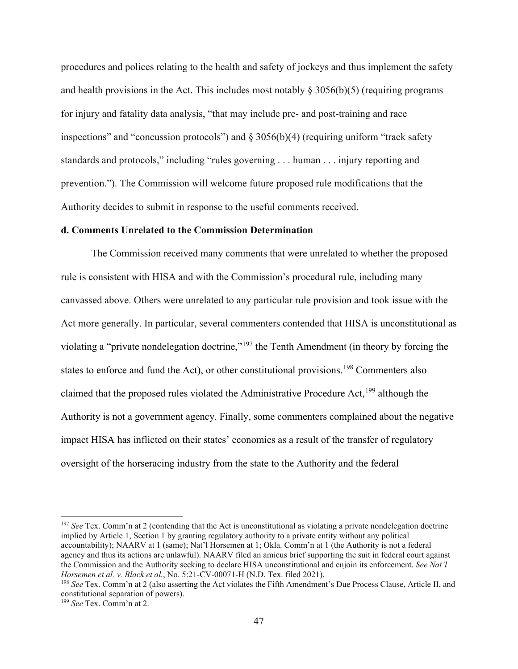procedures and polices relating to the health and safety of jockeys and thus implement the safety and health provisions in the Act. This includes most notably  $\S 3056(b)(5)$  (requiring programs for injury and fatality data analysis, "that may include pre- and post-training and race inspections" and "concussion protocols") and  $\S 3056(b)(4)$  (requiring uniform "track safety standards and protocols," including "rules governing . . . human . . . injury reporting and prevention."). The Commission will welcome future proposed rule modifications that the Authority decides to submit in response to the useful comments received.

#### **d. Comments Unrelated to the Commission Determination**

The Commission received many comments that were unrelated to whether the proposed rule is consistent with HISA and with the Commission's procedural rule, including many canvassed above. Others were unrelated to any particular rule provision and took issue with the Act more generally. In particular, several commenters contended that HISA is unconstitutional as violating a "private nondelegation doctrine,"[197](#page-46-0) the Tenth Amendment (in theory by forcing the states to enforce and fund the Act), or other constitutional provisions.<sup>[198](#page-46-1)</sup> Commenters also claimed that the proposed rules violated the Administrative Procedure Act,  $^{199}$  $^{199}$  $^{199}$  although the Authority is not a government agency. Finally, some commenters complained about the negative impact HISA has inflicted on their states' economies as a result of the transfer of regulatory oversight of the horseracing industry from the state to the Authority and the federal

<span id="page-46-0"></span><sup>&</sup>lt;sup>197</sup> *See* Tex. Comm'n at 2 (contending that the Act is unconstitutional as violating a private nondelegation doctrine implied by Article 1, Section 1 by granting regulatory authority to a private entity without any political accountability); NAARV at 1 (same); Nat'l Horsemen at 1; Okla. Comm'n at 1 (the Authority is not a federal agency and thus its actions are unlawful). NAARV filed an amicus brief supporting the suit in federal court against the Commission and the Authority seeking to declare HISA unconstitutional and enjoin its enforcement. *See Nat'l Horsemen et al. v. Black et al.*, No. 5:21-CV-00071-H (N.D. Tex. filed 2021).

<span id="page-46-1"></span><sup>&</sup>lt;sup>198</sup> *See* Tex. Comm'n at 2 (also asserting the Act violates the Fifth Amendment's Due Process Clause, Article II, and constitutional separation of powers).

<span id="page-46-2"></span><sup>199</sup> *See* Tex. Comm'n at 2.